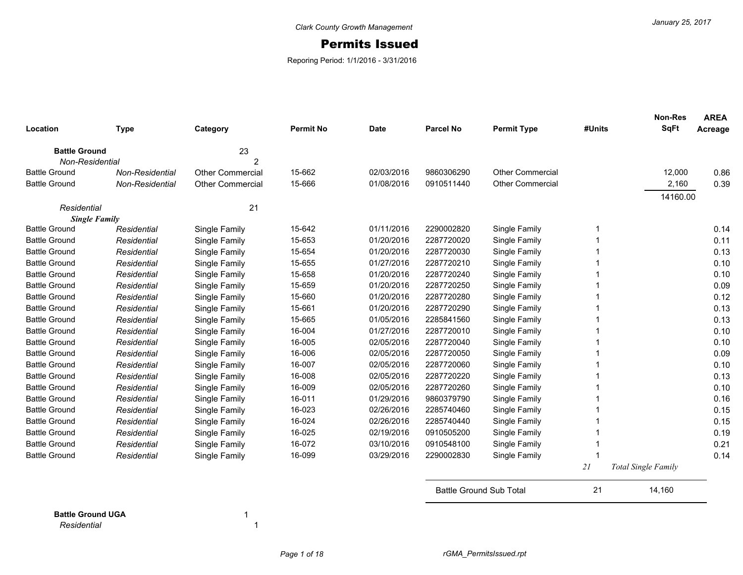## Permits Issued

Reporing Period: 1/1/2016 - 3/31/2016

| Location             | <b>Type</b>     | Category                | <b>Permit No</b> | <b>Date</b> | <b>Parcel No</b>               | <b>Permit Type</b>      | #Units | <b>Non-Res</b><br><b>SqFt</b> | <b>AREA</b><br>Acreage |
|----------------------|-----------------|-------------------------|------------------|-------------|--------------------------------|-------------------------|--------|-------------------------------|------------------------|
| <b>Battle Ground</b> |                 | 23                      |                  |             |                                |                         |        |                               |                        |
| Non-Residential      |                 | 2                       |                  |             |                                |                         |        |                               |                        |
| <b>Battle Ground</b> | Non-Residential | Other Commercial        | 15-662           | 02/03/2016  | 9860306290                     | <b>Other Commercial</b> |        | 12,000                        | 0.86                   |
| <b>Battle Ground</b> | Non-Residential | <b>Other Commercial</b> | 15-666           | 01/08/2016  | 0910511440                     | <b>Other Commercial</b> |        | 2,160                         | 0.39                   |
|                      |                 |                         |                  |             |                                |                         |        | 14160.00                      |                        |
| Residential          |                 | 21                      |                  |             |                                |                         |        |                               |                        |
| <b>Single Family</b> |                 |                         |                  |             |                                |                         |        |                               |                        |
| <b>Battle Ground</b> | Residential     | Single Family           | 15-642           | 01/11/2016  | 2290002820                     | Single Family           |        |                               | 0.14                   |
| <b>Battle Ground</b> | Residential     | Single Family           | 15-653           | 01/20/2016  | 2287720020                     | Single Family           |        |                               | 0.11                   |
| <b>Battle Ground</b> | Residential     | Single Family           | 15-654           | 01/20/2016  | 2287720030                     | Single Family           |        |                               | 0.13                   |
| <b>Battle Ground</b> | Residential     | Single Family           | 15-655           | 01/27/2016  | 2287720210                     | Single Family           |        |                               | 0.10                   |
| <b>Battle Ground</b> | Residential     | Single Family           | 15-658           | 01/20/2016  | 2287720240                     | Single Family           |        |                               | 0.10                   |
| <b>Battle Ground</b> | Residential     | Single Family           | 15-659           | 01/20/2016  | 2287720250                     | Single Family           |        |                               | 0.09                   |
| <b>Battle Ground</b> | Residential     | Single Family           | 15-660           | 01/20/2016  | 2287720280                     | Single Family           |        |                               | 0.12                   |
| <b>Battle Ground</b> | Residential     | Single Family           | 15-661           | 01/20/2016  | 2287720290                     | Single Family           |        |                               | 0.13                   |
| <b>Battle Ground</b> | Residential     | Single Family           | 15-665           | 01/05/2016  | 2285841560                     | Single Family           |        |                               | 0.13                   |
| <b>Battle Ground</b> | Residential     | Single Family           | 16-004           | 01/27/2016  | 2287720010                     | Single Family           |        |                               | 0.10                   |
| <b>Battle Ground</b> | Residential     | Single Family           | 16-005           | 02/05/2016  | 2287720040                     | Single Family           |        |                               | 0.10                   |
| <b>Battle Ground</b> | Residential     | Single Family           | 16-006           | 02/05/2016  | 2287720050                     | Single Family           |        |                               | 0.09                   |
| <b>Battle Ground</b> | Residential     | Single Family           | 16-007           | 02/05/2016  | 2287720060                     | Single Family           |        |                               | 0.10                   |
| <b>Battle Ground</b> | Residential     | Single Family           | 16-008           | 02/05/2016  | 2287720220                     | Single Family           |        |                               | 0.13                   |
| <b>Battle Ground</b> | Residential     | Single Family           | 16-009           | 02/05/2016  | 2287720260                     | Single Family           |        |                               | 0.10                   |
| <b>Battle Ground</b> | Residential     | Single Family           | 16-011           | 01/29/2016  | 9860379790                     | Single Family           |        |                               | 0.16                   |
| <b>Battle Ground</b> | Residential     | Single Family           | 16-023           | 02/26/2016  | 2285740460                     | Single Family           |        |                               | 0.15                   |
| <b>Battle Ground</b> | Residential     | Single Family           | 16-024           | 02/26/2016  | 2285740440                     | Single Family           |        |                               | 0.15                   |
| <b>Battle Ground</b> | Residential     | Single Family           | 16-025           | 02/19/2016  | 0910505200                     | Single Family           |        |                               | 0.19                   |
| <b>Battle Ground</b> | Residential     | Single Family           | 16-072           | 03/10/2016  | 0910548100                     | Single Family           |        |                               | 0.21                   |
| <b>Battle Ground</b> | Residential     | Single Family           | 16-099           | 03/29/2016  | 2290002830                     | Single Family           |        |                               | 0.14                   |
|                      |                 |                         |                  |             |                                |                         | 21     | <b>Total Single Family</b>    |                        |
|                      |                 |                         |                  |             | <b>Battle Ground Sub Total</b> |                         | 21     | 14,160                        |                        |

**Battle Ground UGA** 1 *Residential* 1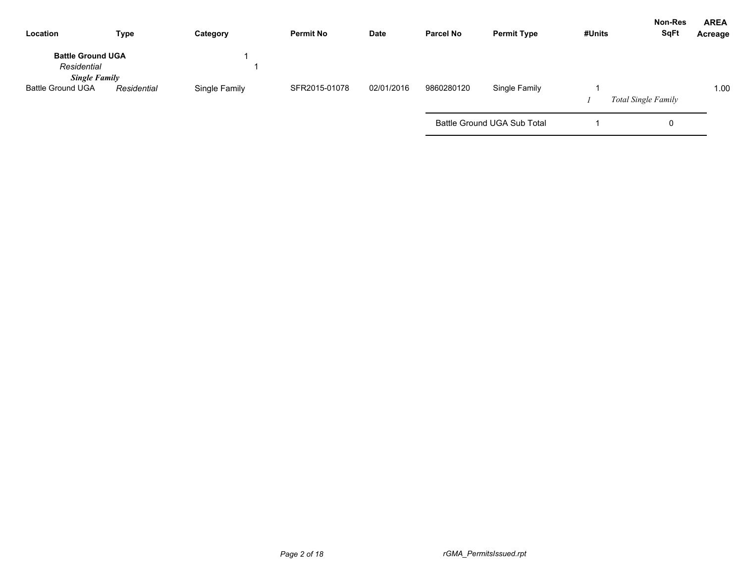| Location                                                        | <b>Type</b> | Category      | <b>Permit No</b> | Date       | <b>Parcel No</b> | <b>Permit Type</b>          | #Units | <b>Non-Res</b><br><b>SqFt</b> | <b>AREA</b><br>Acreage |
|-----------------------------------------------------------------|-------------|---------------|------------------|------------|------------------|-----------------------------|--------|-------------------------------|------------------------|
| <b>Battle Ground UGA</b><br>Residential<br><b>Single Family</b> |             |               |                  |            |                  |                             |        |                               |                        |
| <b>Battle Ground UGA</b>                                        | Residential | Single Family | SFR2015-01078    | 02/01/2016 | 9860280120       | Single Family               |        | <b>Total Single Family</b>    | 1.00                   |
|                                                                 |             |               |                  |            |                  | Battle Ground UGA Sub Total |        | O                             |                        |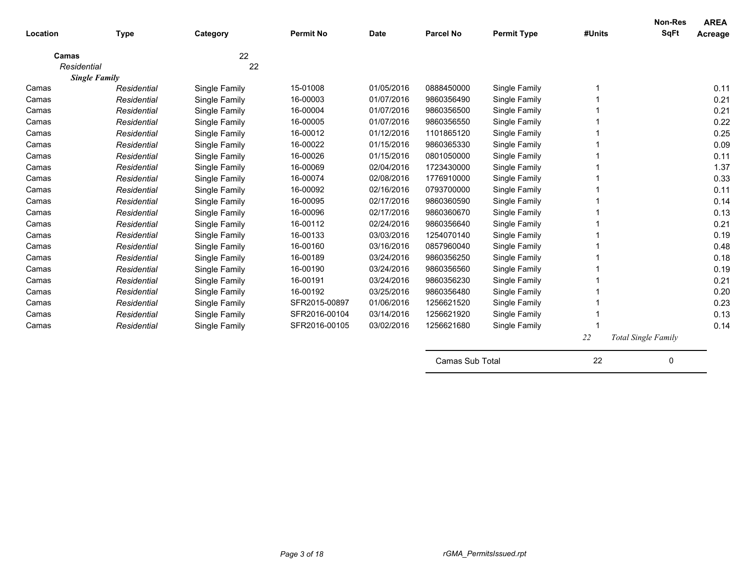| Location    | <b>Type</b>          | Category      | <b>Permit No</b> | <b>Date</b> | <b>Parcel No</b> | <b>Permit Type</b> | #Units | Non-Res<br><b>SqFt</b>     | <b>AREA</b><br>Acreage |
|-------------|----------------------|---------------|------------------|-------------|------------------|--------------------|--------|----------------------------|------------------------|
|             |                      |               |                  |             |                  |                    |        |                            |                        |
| Camas       |                      | 22            |                  |             |                  |                    |        |                            |                        |
| Residential |                      | 22            |                  |             |                  |                    |        |                            |                        |
|             | <b>Single Family</b> |               |                  |             |                  |                    |        |                            |                        |
| Camas       | Residential          | Single Family | 15-01008         | 01/05/2016  | 0888450000       | Single Family      |        |                            | 0.11                   |
| Camas       | Residential          | Single Family | 16-00003         | 01/07/2016  | 9860356490       | Single Family      |        |                            | 0.21                   |
| Camas       | Residential          | Single Family | 16-00004         | 01/07/2016  | 9860356500       | Single Family      |        |                            | 0.21                   |
| Camas       | Residential          | Single Family | 16-00005         | 01/07/2016  | 9860356550       | Single Family      |        |                            | 0.22                   |
| Camas       | Residential          | Single Family | 16-00012         | 01/12/2016  | 1101865120       | Single Family      |        |                            | 0.25                   |
| Camas       | Residential          | Single Family | 16-00022         | 01/15/2016  | 9860365330       | Single Family      |        |                            | 0.09                   |
| Camas       | Residential          | Single Family | 16-00026         | 01/15/2016  | 0801050000       | Single Family      |        |                            | 0.11                   |
| Camas       | Residential          | Single Family | 16-00069         | 02/04/2016  | 1723430000       | Single Family      |        |                            | 1.37                   |
| Camas       | Residential          | Single Family | 16-00074         | 02/08/2016  | 1776910000       | Single Family      |        |                            | 0.33                   |
| Camas       | Residential          | Single Family | 16-00092         | 02/16/2016  | 0793700000       | Single Family      |        |                            | 0.11                   |
| Camas       | Residential          | Single Family | 16-00095         | 02/17/2016  | 9860360590       | Single Family      |        |                            | 0.14                   |
| Camas       | Residential          | Single Family | 16-00096         | 02/17/2016  | 9860360670       | Single Family      |        |                            | 0.13                   |
| Camas       | Residential          | Single Family | 16-00112         | 02/24/2016  | 9860356640       | Single Family      |        |                            | 0.21                   |
| Camas       | Residential          | Single Family | 16-00133         | 03/03/2016  | 1254070140       | Single Family      |        |                            | 0.19                   |
| Camas       | Residential          | Single Family | 16-00160         | 03/16/2016  | 0857960040       | Single Family      |        |                            | 0.48                   |
| Camas       | Residential          | Single Family | 16-00189         | 03/24/2016  | 9860356250       | Single Family      |        |                            | 0.18                   |
| Camas       | Residential          | Single Family | 16-00190         | 03/24/2016  | 9860356560       | Single Family      |        |                            | 0.19                   |
| Camas       | Residential          | Single Family | 16-00191         | 03/24/2016  | 9860356230       | Single Family      |        |                            | 0.21                   |
| Camas       | Residential          | Single Family | 16-00192         | 03/25/2016  | 9860356480       | Single Family      |        |                            | 0.20                   |
| Camas       | Residential          | Single Family | SFR2015-00897    | 01/06/2016  | 1256621520       | Single Family      |        |                            | 0.23                   |
| Camas       | Residential          | Single Family | SFR2016-00104    | 03/14/2016  | 1256621920       | Single Family      |        |                            | 0.13                   |
| Camas       | Residential          | Single Family | SFR2016-00105    | 03/02/2016  | 1256621680       | Single Family      |        |                            | 0.14                   |
|             |                      |               |                  |             |                  |                    | 22     | <b>Total Single Family</b> |                        |

| Camas Sub Total |  |
|-----------------|--|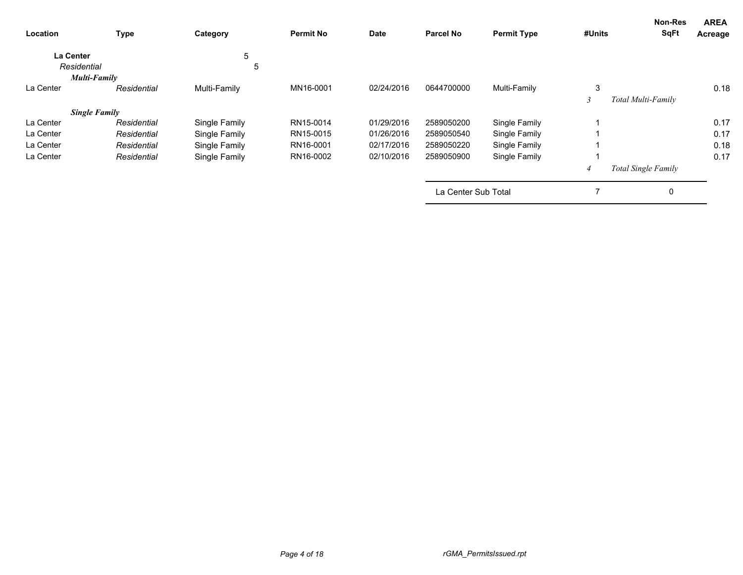| Location                        | <b>Type</b>          | Category      | <b>Permit No</b> | Date       | <b>Parcel No</b>    | <b>Permit Type</b> | #Units | <b>Non-Res</b><br><b>SqFt</b> | <b>AREA</b><br>Acreage |
|---------------------------------|----------------------|---------------|------------------|------------|---------------------|--------------------|--------|-------------------------------|------------------------|
| <b>La Center</b><br>Residential |                      | 5<br>5        |                  |            |                     |                    |        |                               |                        |
|                                 | Multi-Family         |               |                  |            |                     |                    |        |                               |                        |
| La Center                       | Residential          | Multi-Family  | MN16-0001        | 02/24/2016 | 0644700000          | Multi-Family       | 3      |                               | 0.18                   |
|                                 |                      |               |                  |            |                     |                    | $\sim$ | Total Multi-Family            |                        |
|                                 | <b>Single Family</b> |               |                  |            |                     |                    |        |                               |                        |
| La Center                       | Residential          | Single Family | RN15-0014        | 01/29/2016 | 2589050200          | Single Family      |        |                               | 0.17                   |
| La Center                       | Residential          | Single Family | RN15-0015        | 01/26/2016 | 2589050540          | Single Family      |        |                               | 0.17                   |
| La Center                       | Residential          | Single Family | RN16-0001        | 02/17/2016 | 2589050220          | Single Family      |        |                               | 0.18                   |
| La Center                       | Residential          | Single Family | RN16-0002        | 02/10/2016 | 2589050900          | Single Family      |        |                               | 0.17                   |
|                                 |                      |               |                  |            |                     |                    |        | Total Single Family           |                        |
|                                 |                      |               |                  |            | La Center Sub Total |                    | 7      | 0                             |                        |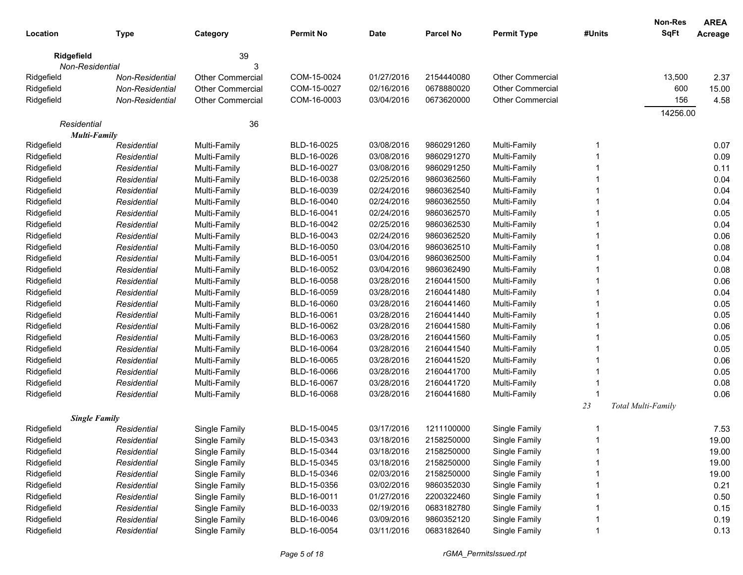| Location    |                                     |                         | <b>Permit No</b>           | Date       | <b>Parcel No</b>         | <b>Permit Type</b>      | #Units | <b>Non-Res</b><br><b>SqFt</b> | <b>AREA</b>  |
|-------------|-------------------------------------|-------------------------|----------------------------|------------|--------------------------|-------------------------|--------|-------------------------------|--------------|
|             | <b>Type</b>                         | Category                |                            |            |                          |                         |        |                               | Acreage      |
| Ridgefield  |                                     | 39                      |                            |            |                          |                         |        |                               |              |
|             | Non-Residential                     | 3                       |                            |            |                          |                         |        |                               |              |
| Ridgefield  | Non-Residential                     | <b>Other Commercial</b> | COM-15-0024                | 01/27/2016 | 2154440080               | Other Commercial        |        | 13,500                        | 2.37         |
| Ridgefield  | <b>Non-Residential</b>              | <b>Other Commercial</b> | COM-15-0027                | 02/16/2016 | 0678880020               | Other Commercial        |        | 600                           | 15.00        |
| Ridgefield  | Non-Residential                     | <b>Other Commercial</b> | COM-16-0003                | 03/04/2016 | 0673620000               | <b>Other Commercial</b> |        | 156                           | 4.58         |
|             |                                     |                         |                            |            |                          |                         |        | 14256.00                      |              |
| Residential | <b>Multi-Family</b>                 | 36                      |                            |            |                          |                         |        |                               |              |
| Ridgefield  | Residential                         | Multi-Family            | BLD-16-0025                | 03/08/2016 | 9860291260               | Multi-Family            | -1     |                               | 0.07         |
| Ridgefield  | Residential                         | Multi-Family            | BLD-16-0026                | 03/08/2016 | 9860291270               | Multi-Family            |        |                               | 0.09         |
| Ridgefield  | Residential                         | Multi-Family            | BLD-16-0027                | 03/08/2016 | 9860291250               | Multi-Family            |        |                               | 0.11         |
| Ridgefield  | Residential                         | Multi-Family            | BLD-16-0038                | 02/25/2016 | 9860362560               | Multi-Family            |        |                               | 0.04         |
| Ridgefield  | Residential                         | Multi-Family            | BLD-16-0039                | 02/24/2016 | 9860362540               | Multi-Family            |        |                               | 0.04         |
| Ridgefield  |                                     |                         | BLD-16-0040                | 02/24/2016 | 9860362550               | Multi-Family            |        |                               | 0.04         |
| Ridgefield  | Residential                         | Multi-Family            | BLD-16-0041                | 02/24/2016 | 9860362570               | Multi-Family            |        |                               |              |
|             | Residential                         | Multi-Family            | BLD-16-0042                | 02/25/2016 | 9860362530               |                         |        |                               | 0.05<br>0.04 |
| Ridgefield  | Residential                         | Multi-Family            | BLD-16-0043                | 02/24/2016 | 9860362520               | Multi-Family            |        |                               | 0.06         |
| Ridgefield  | Residential                         | Multi-Family            |                            |            |                          | Multi-Family            |        |                               |              |
| Ridgefield  | Residential                         | Multi-Family            | BLD-16-0050                | 03/04/2016 | 9860362510               | Multi-Family            |        |                               | 0.08         |
| Ridgefield  | Residential                         | Multi-Family            | BLD-16-0051                | 03/04/2016 | 9860362500               | Multi-Family            |        |                               | 0.04         |
| Ridgefield  | Residential                         | Multi-Family            | BLD-16-0052<br>BLD-16-0058 | 03/04/2016 | 9860362490<br>2160441500 | Multi-Family            |        |                               | 0.08         |
| Ridgefield  | Residential                         | Multi-Family            |                            | 03/28/2016 |                          | Multi-Family            |        |                               | 0.06         |
| Ridgefield  | Residential                         | Multi-Family            | BLD-16-0059                | 03/28/2016 | 2160441480               | Multi-Family            |        |                               | 0.04         |
| Ridgefield  | Residential                         | Multi-Family            | BLD-16-0060                | 03/28/2016 | 2160441460               | Multi-Family            |        |                               | 0.05         |
| Ridgefield  | Residential                         | Multi-Family            | BLD-16-0061                | 03/28/2016 | 2160441440               | Multi-Family            |        |                               | 0.05         |
| Ridgefield  | Residential                         | Multi-Family            | BLD-16-0062                | 03/28/2016 | 2160441580               | Multi-Family            |        |                               | 0.06         |
| Ridgefield  | Residential                         | Multi-Family            | BLD-16-0063                | 03/28/2016 | 2160441560               | Multi-Family            |        |                               | 0.05         |
| Ridgefield  | Residential                         | Multi-Family            | BLD-16-0064                | 03/28/2016 | 2160441540               | Multi-Family            |        |                               | 0.05         |
| Ridgefield  | Residential                         | Multi-Family            | BLD-16-0065                | 03/28/2016 | 2160441520               | Multi-Family            |        |                               | 0.06         |
| Ridgefield  | Residential                         | Multi-Family            | BLD-16-0066                | 03/28/2016 | 2160441700               | Multi-Family            |        |                               | 0.05         |
| Ridgefield  | Residential                         | Multi-Family            | BLD-16-0067                | 03/28/2016 | 2160441720               | Multi-Family            |        |                               | 0.08         |
| Ridgefield  | Residential                         | Multi-Family            | BLD-16-0068                | 03/28/2016 | 2160441680               | Multi-Family            |        |                               | 0.06         |
|             |                                     |                         |                            |            |                          |                         | 23     | Total Multi-Family            |              |
| Ridgefield  | <b>Single Family</b><br>Residential | Single Family           | BLD-15-0045                | 03/17/2016 | 1211100000               | Single Family           |        |                               | 7.53         |
|             | Residential                         |                         | BLD-15-0343                | 03/18/2016 | 2158250000               |                         |        |                               |              |
| Ridgefield  |                                     | Single Family           |                            |            |                          | Single Family           |        |                               | 19.00        |
| Ridgefield  | Residential                         | Single Family           | BLD-15-0344                | 03/18/2016 | 2158250000               | Single Family           |        |                               | 19.00        |
| Ridgefield  | Residential                         | Single Family           | BLD-15-0345                | 03/18/2016 | 2158250000               | Single Family           |        |                               | 19.00        |
| Ridgefield  | Residential                         | Single Family           | BLD-15-0346                | 02/03/2016 | 2158250000               | Single Family           |        |                               | 19.00        |
| Ridgefield  | Residential                         | Single Family           | BLD-15-0356                | 03/02/2016 | 9860352030               | Single Family           |        |                               | 0.21         |
| Ridgefield  | Residential                         | Single Family           | BLD-16-0011                | 01/27/2016 | 2200322460               | Single Family           |        |                               | 0.50         |
| Ridgefield  | Residential                         | Single Family           | BLD-16-0033                | 02/19/2016 | 0683182780               | Single Family           |        |                               | 0.15         |
| Ridgefield  | Residential                         | Single Family           | BLD-16-0046                | 03/09/2016 | 9860352120               | Single Family           |        |                               | 0.19         |
| Ridgefield  | Residential                         | Single Family           | BLD-16-0054                | 03/11/2016 | 0683182640               | Single Family           |        |                               | 0.13         |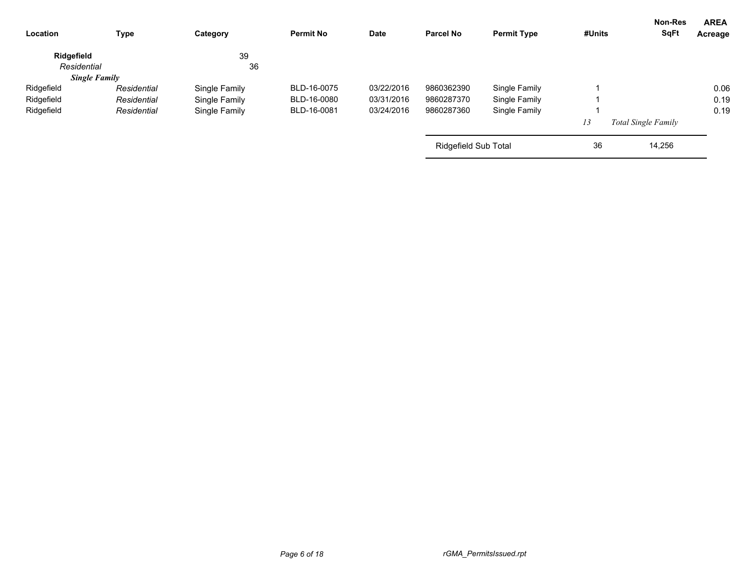| <b>Type</b> | Category                            | <b>Permit No</b> | <b>Date</b> | <b>Parcel No</b> | <b>Permit Type</b> | #Units               | <b>SqFt</b> | <b>AREA</b><br>Acreage                |
|-------------|-------------------------------------|------------------|-------------|------------------|--------------------|----------------------|-------------|---------------------------------------|
|             | 39                                  |                  |             |                  |                    |                      |             |                                       |
|             | 36                                  |                  |             |                  |                    |                      |             |                                       |
|             |                                     |                  |             |                  |                    |                      |             |                                       |
| Residential | Single Family                       | BLD-16-0075      | 03/22/2016  | 9860362390       | Single Family      |                      |             | 0.06                                  |
| Residential | Single Family                       | BLD-16-0080      | 03/31/2016  | 9860287370       | Single Family      |                      |             | 0.19                                  |
| Residential | Single Family                       | BLD-16-0081      | 03/24/2016  | 9860287360       | Single Family      |                      |             | 0.19                                  |
|             |                                     |                  |             |                  |                    | 13                   |             |                                       |
|             |                                     |                  |             |                  |                    | 36                   | 14,256      |                                       |
|             | Residential<br><b>Single Family</b> |                  |             |                  |                    | Ridgefield Sub Total |             | Non-Res<br><b>Total Single Family</b> |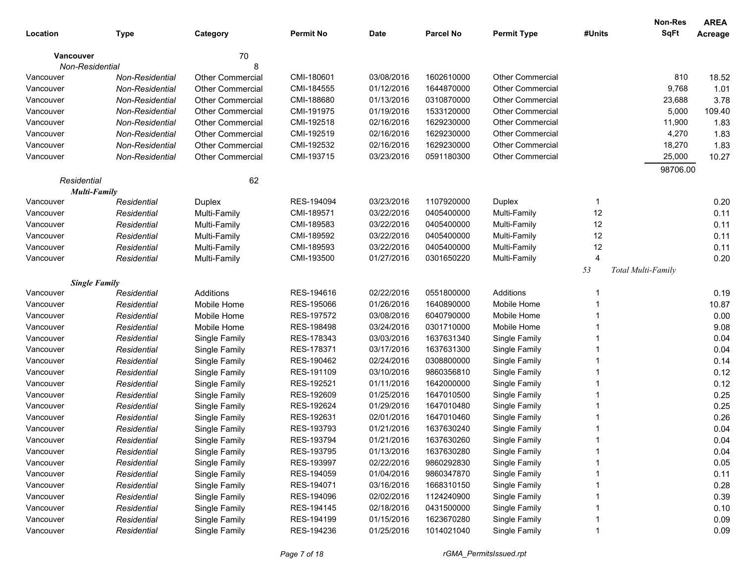|                  |                      |                         |                  |             |                  |                         |                | Non-Res            | <b>AREA</b> |
|------------------|----------------------|-------------------------|------------------|-------------|------------------|-------------------------|----------------|--------------------|-------------|
| Location         | <b>Type</b>          | Category                | <b>Permit No</b> | <b>Date</b> | <b>Parcel No</b> | <b>Permit Type</b>      | #Units         | <b>SqFt</b>        | Acreage     |
| <b>Vancouver</b> |                      | 70                      |                  |             |                  |                         |                |                    |             |
|                  | Non-Residential      | 8                       |                  |             |                  |                         |                |                    |             |
| Vancouver        | Non-Residential      | <b>Other Commercial</b> | CMI-180601       | 03/08/2016  | 1602610000       | <b>Other Commercial</b> |                | 810                | 18.52       |
| Vancouver        | Non-Residential      | <b>Other Commercial</b> | CMI-184555       | 01/12/2016  | 1644870000       | <b>Other Commercial</b> |                | 9,768              | 1.01        |
| Vancouver        | Non-Residential      | <b>Other Commercial</b> | CMI-188680       | 01/13/2016  | 0310870000       | <b>Other Commercial</b> |                | 23,688             | 3.78        |
| Vancouver        | Non-Residential      | <b>Other Commercial</b> | CMI-191975       | 01/19/2016  | 1533120000       | <b>Other Commercial</b> |                | 5,000              | 109.40      |
| Vancouver        | Non-Residential      | <b>Other Commercial</b> | CMI-192518       | 02/16/2016  | 1629230000       | <b>Other Commercial</b> |                | 11,900             | 1.83        |
| Vancouver        | Non-Residential      | <b>Other Commercial</b> | CMI-192519       | 02/16/2016  | 1629230000       | <b>Other Commercial</b> |                | 4,270              | 1.83        |
| Vancouver        | Non-Residential      | <b>Other Commercial</b> | CMI-192532       | 02/16/2016  | 1629230000       | <b>Other Commercial</b> |                | 18,270             | 1.83        |
| Vancouver        | Non-Residential      | <b>Other Commercial</b> | CMI-193715       | 03/23/2016  | 0591180300       | <b>Other Commercial</b> |                | 25,000             | 10.27       |
|                  |                      |                         |                  |             |                  |                         |                | 98706.00           |             |
| Residential      |                      | 62                      |                  |             |                  |                         |                |                    |             |
|                  | <b>Multi-Family</b>  |                         |                  |             |                  |                         |                |                    |             |
| Vancouver        | Residential          | Duplex                  | RES-194094       | 03/23/2016  | 1107920000       | Duplex                  | -1             |                    | 0.20        |
| Vancouver        | Residential          | Multi-Family            | CMI-189571       | 03/22/2016  | 0405400000       | Multi-Family            | 12             |                    | 0.11        |
| Vancouver        | Residential          | Multi-Family            | CMI-189583       | 03/22/2016  | 0405400000       | Multi-Family            | 12             |                    | 0.11        |
| Vancouver        | Residential          | Multi-Family            | CMI-189592       | 03/22/2016  | 0405400000       | Multi-Family            | 12             |                    | 0.11        |
| Vancouver        | Residential          | Multi-Family            | CMI-189593       | 03/22/2016  | 0405400000       | Multi-Family            | 12             |                    | 0.11        |
| Vancouver        | Residential          | Multi-Family            | CMI-193500       | 01/27/2016  | 0301650220       | Multi-Family            | $\overline{4}$ |                    | 0.20        |
|                  |                      |                         |                  |             |                  |                         | 53             | Total Multi-Family |             |
|                  | <b>Single Family</b> |                         |                  |             |                  |                         |                |                    |             |
| Vancouver        | Residential          | Additions               | RES-194616       | 02/22/2016  | 0551800000       | Additions               |                |                    | 0.19        |
| Vancouver        | Residential          | Mobile Home             | RES-195066       | 01/26/2016  | 1640890000       | Mobile Home             |                |                    | 10.87       |
| Vancouver        | Residential          | Mobile Home             | RES-197572       | 03/08/2016  | 6040790000       | Mobile Home             |                |                    | 0.00        |
| Vancouver        | Residential          | Mobile Home             | RES-198498       | 03/24/2016  | 0301710000       | Mobile Home             |                |                    | 9.08        |
| Vancouver        | Residential          | Single Family           | RES-178343       | 03/03/2016  | 1637631340       | Single Family           |                |                    | 0.04        |
| Vancouver        | Residential          | Single Family           | RES-178371       | 03/17/2016  | 1637631300       | Single Family           |                |                    | 0.04        |
| Vancouver        | Residential          | Single Family           | RES-190462       | 02/24/2016  | 0308800000       | Single Family           |                |                    | 0.14        |
| Vancouver        | Residential          | Single Family           | RES-191109       | 03/10/2016  | 9860356810       | Single Family           |                |                    | 0.12        |
| Vancouver        | Residential          | Single Family           | RES-192521       | 01/11/2016  | 1642000000       | Single Family           |                |                    | 0.12        |
| Vancouver        | Residential          | Single Family           | RES-192609       | 01/25/2016  | 1647010500       | Single Family           |                |                    | 0.25        |
| Vancouver        | Residential          | Single Family           | RES-192624       | 01/29/2016  | 1647010480       | Single Family           |                |                    | 0.25        |
| Vancouver        | Residential          | Single Family           | RES-192631       | 02/01/2016  | 1647010460       | Single Family           |                |                    | 0.26        |
| Vancouver        | Residential          | Single Family           | RES-193793       | 01/21/2016  | 1637630240       | Single Family           |                |                    | 0.04        |
| Vancouver        | Residential          | Single Family           | RES-193794       | 01/21/2016  | 1637630260       | Single Family           |                |                    | 0.04        |
| Vancouver        | Residential          | Single Family           | RES-193795       | 01/13/2016  | 1637630280       | Single Family           |                |                    | 0.04        |
| Vancouver        | Residential          | Single Family           | RES-193997       | 02/22/2016  | 9860292830       | Single Family           |                |                    | 0.05        |
| Vancouver        | Residential          | Single Family           | RES-194059       | 01/04/2016  | 9860347870       | Single Family           |                |                    | 0.11        |
| Vancouver        | Residential          | Single Family           | RES-194071       | 03/16/2016  | 1668310150       | Single Family           |                |                    | 0.28        |
| Vancouver        | Residential          | Single Family           | RES-194096       | 02/02/2016  | 1124240900       | Single Family           |                |                    | 0.39        |
| Vancouver        | Residential          | Single Family           | RES-194145       | 02/18/2016  | 0431500000       | Single Family           |                |                    | 0.10        |
| Vancouver        | Residential          | Single Family           | RES-194199       | 01/15/2016  | 1623670280       | Single Family           |                |                    | 0.09        |
| Vancouver        | Residential          | Single Family           | RES-194236       | 01/25/2016  | 1014021040       | Single Family           |                |                    | 0.09        |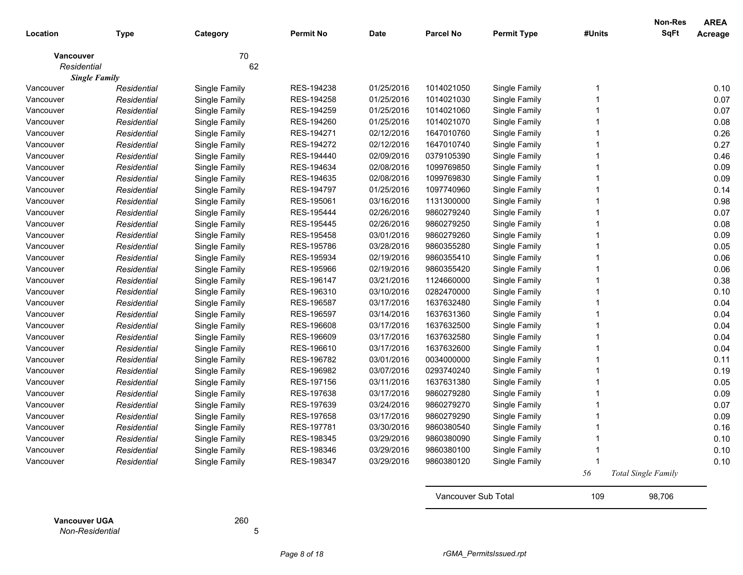| Location             | <b>Type</b>          | Category      | <b>Permit No</b> | <b>Date</b> | <b>Parcel No</b>    | <b>Permit Type</b> | #Units | <b>Non-Res</b><br><b>SqFt</b> | <b>AREA</b><br><b>Acreage</b> |
|----------------------|----------------------|---------------|------------------|-------------|---------------------|--------------------|--------|-------------------------------|-------------------------------|
| <b>Vancouver</b>     |                      | 70            |                  |             |                     |                    |        |                               |                               |
| Residential          |                      | 62            |                  |             |                     |                    |        |                               |                               |
|                      | <b>Single Family</b> |               |                  |             |                     |                    |        |                               |                               |
| Vancouver            | Residential          | Single Family | RES-194238       | 01/25/2016  | 1014021050          | Single Family      |        |                               | 0.10                          |
| Vancouver            | Residential          | Single Family | RES-194258       | 01/25/2016  | 1014021030          | Single Family      |        |                               | 0.07                          |
| Vancouver            | Residential          | Single Family | RES-194259       | 01/25/2016  | 1014021060          | Single Family      |        |                               | 0.07                          |
| Vancouver            | Residential          | Single Family | RES-194260       | 01/25/2016  | 1014021070          | Single Family      |        |                               | 0.08                          |
| Vancouver            | Residential          | Single Family | RES-194271       | 02/12/2016  | 1647010760          | Single Family      |        |                               | 0.26                          |
| Vancouver            | Residential          | Single Family | RES-194272       | 02/12/2016  | 1647010740          | Single Family      |        |                               | 0.27                          |
| Vancouver            | Residential          | Single Family | RES-194440       | 02/09/2016  | 0379105390          | Single Family      |        |                               | 0.46                          |
| Vancouver            | Residential          | Single Family | RES-194634       | 02/08/2016  | 1099769850          | Single Family      |        |                               | 0.09                          |
| Vancouver            | Residential          | Single Family | RES-194635       | 02/08/2016  | 1099769830          | Single Family      |        |                               | 0.09                          |
| Vancouver            | Residential          | Single Family | RES-194797       | 01/25/2016  | 1097740960          | Single Family      |        |                               | 0.14                          |
| Vancouver            | Residential          | Single Family | RES-195061       | 03/16/2016  | 1131300000          | Single Family      |        |                               | 0.98                          |
| Vancouver            | Residential          | Single Family | RES-195444       | 02/26/2016  | 9860279240          | Single Family      |        |                               | 0.07                          |
| Vancouver            | Residential          | Single Family | RES-195445       | 02/26/2016  | 9860279250          | Single Family      |        |                               | 0.08                          |
| Vancouver            | Residential          | Single Family | RES-195458       | 03/01/2016  | 9860279260          | Single Family      |        |                               | 0.09                          |
| Vancouver            | Residential          | Single Family | RES-195786       | 03/28/2016  | 9860355280          | Single Family      |        |                               | 0.05                          |
| Vancouver            | Residential          | Single Family | RES-195934       | 02/19/2016  | 9860355410          | Single Family      |        |                               | 0.06                          |
| Vancouver            | Residential          | Single Family | RES-195966       | 02/19/2016  | 9860355420          | Single Family      |        |                               | 0.06                          |
| Vancouver            | Residential          | Single Family | RES-196147       | 03/21/2016  | 1124660000          | Single Family      |        |                               | 0.38                          |
| Vancouver            | Residential          | Single Family | RES-196310       | 03/10/2016  | 0282470000          | Single Family      |        |                               | 0.10                          |
| Vancouver            | Residential          | Single Family | RES-196587       | 03/17/2016  | 1637632480          | Single Family      |        |                               | 0.04                          |
| Vancouver            | Residential          | Single Family | RES-196597       | 03/14/2016  | 1637631360          | Single Family      |        |                               | 0.04                          |
| Vancouver            | Residential          | Single Family | RES-196608       | 03/17/2016  | 1637632500          | Single Family      |        |                               | 0.04                          |
| Vancouver            | Residential          | Single Family | RES-196609       | 03/17/2016  | 1637632580          | Single Family      |        |                               | 0.04                          |
| Vancouver            | Residential          | Single Family | RES-196610       | 03/17/2016  | 1637632600          | Single Family      |        |                               | 0.04                          |
| Vancouver            | Residential          | Single Family | RES-196782       | 03/01/2016  | 0034000000          | Single Family      |        |                               | 0.11                          |
| Vancouver            | Residential          | Single Family | RES-196982       | 03/07/2016  | 0293740240          | Single Family      |        |                               | 0.19                          |
| Vancouver            | Residential          | Single Family | RES-197156       | 03/11/2016  | 1637631380          | Single Family      |        |                               | 0.05                          |
| Vancouver            | Residential          | Single Family | RES-197638       | 03/17/2016  | 9860279280          | Single Family      |        |                               | 0.09                          |
| Vancouver            | Residential          | Single Family | RES-197639       | 03/24/2016  | 9860279270          | Single Family      |        |                               | 0.07                          |
| Vancouver            | Residential          | Single Family | RES-197658       | 03/17/2016  | 9860279290          | Single Family      |        |                               | 0.09                          |
| Vancouver            | Residential          | Single Family | RES-197781       | 03/30/2016  | 9860380540          | Single Family      |        |                               | 0.16                          |
| Vancouver            | Residential          | Single Family | RES-198345       | 03/29/2016  | 9860380090          | Single Family      |        |                               | 0.10                          |
| Vancouver            | Residential          | Single Family | RES-198346       | 03/29/2016  | 9860380100          | Single Family      |        |                               | 0.10                          |
| Vancouver            | Residential          | Single Family | RES-198347       | 03/29/2016  | 9860380120          | Single Family      | -1     |                               | 0.10                          |
|                      |                      |               |                  |             |                     |                    | 56     | <b>Total Single Family</b>    |                               |
|                      |                      |               |                  |             | Vancouver Sub Total |                    | 109    | 98,706                        |                               |
| <b>Vancouver UGA</b> |                      | 260           |                  |             |                     |                    |        |                               |                               |

*Non-Residential* 5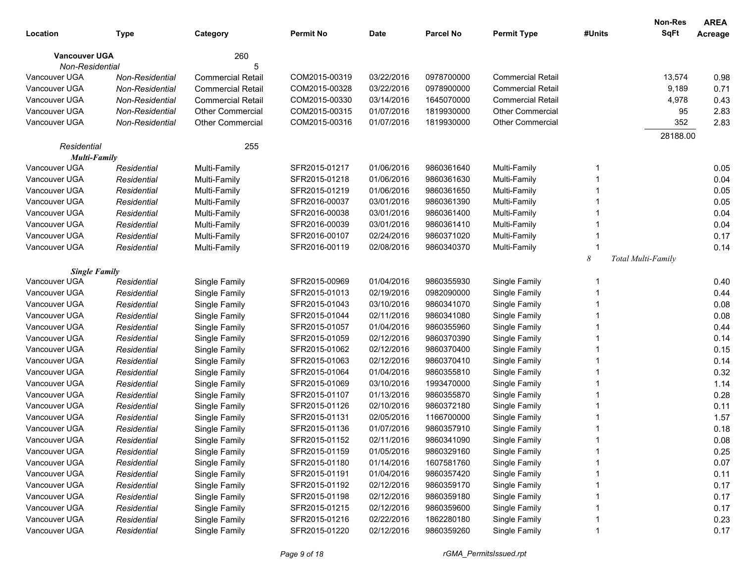|                      |                 |                          |                  |             |                  |                          |        | <b>Non-Res</b>     | <b>AREA</b> |
|----------------------|-----------------|--------------------------|------------------|-------------|------------------|--------------------------|--------|--------------------|-------------|
| Location             | <b>Type</b>     | Category                 | <b>Permit No</b> | <b>Date</b> | <b>Parcel No</b> | <b>Permit Type</b>       | #Units | <b>SqFt</b>        | Acreage     |
| <b>Vancouver UGA</b> |                 | 260                      |                  |             |                  |                          |        |                    |             |
| Non-Residential      |                 | 5                        |                  |             |                  |                          |        |                    |             |
| Vancouver UGA        | Non-Residential | <b>Commercial Retail</b> | COM2015-00319    | 03/22/2016  | 0978700000       | <b>Commercial Retail</b> |        | 13,574             | 0.98        |
| Vancouver UGA        | Non-Residential | <b>Commercial Retail</b> | COM2015-00328    | 03/22/2016  | 0978900000       | <b>Commercial Retail</b> |        | 9,189              | 0.71        |
| Vancouver UGA        | Non-Residential | <b>Commercial Retail</b> | COM2015-00330    | 03/14/2016  | 1645070000       | <b>Commercial Retail</b> |        | 4,978              | 0.43        |
| Vancouver UGA        | Non-Residential | <b>Other Commercial</b>  | COM2015-00315    | 01/07/2016  | 1819930000       | <b>Other Commercial</b>  |        | 95                 | 2.83        |
| Vancouver UGA        | Non-Residential | <b>Other Commercial</b>  | COM2015-00316    | 01/07/2016  | 1819930000       | <b>Other Commercial</b>  |        | 352                | 2.83        |
|                      |                 |                          |                  |             |                  |                          |        | 28188.00           |             |
| Residential          |                 | 255                      |                  |             |                  |                          |        |                    |             |
| <b>Multi-Family</b>  |                 |                          |                  |             |                  |                          |        |                    |             |
| Vancouver UGA        | Residential     | Multi-Family             | SFR2015-01217    | 01/06/2016  | 9860361640       | Multi-Family             |        |                    | 0.05        |
| Vancouver UGA        | Residential     | Multi-Family             | SFR2015-01218    | 01/06/2016  | 9860361630       | Multi-Family             |        |                    | 0.04        |
| Vancouver UGA        | Residential     | Multi-Family             | SFR2015-01219    | 01/06/2016  | 9860361650       | Multi-Family             |        |                    | 0.05        |
| Vancouver UGA        | Residential     | Multi-Family             | SFR2016-00037    | 03/01/2016  | 9860361390       | Multi-Family             |        |                    | 0.05        |
| Vancouver UGA        | Residential     | Multi-Family             | SFR2016-00038    | 03/01/2016  | 9860361400       | Multi-Family             |        |                    | 0.04        |
| Vancouver UGA        | Residential     | Multi-Family             | SFR2016-00039    | 03/01/2016  | 9860361410       | Multi-Family             |        |                    | 0.04        |
| Vancouver UGA        | Residential     | Multi-Family             | SFR2016-00107    | 02/24/2016  | 9860371020       | Multi-Family             |        |                    | 0.17        |
| Vancouver UGA        | Residential     | Multi-Family             | SFR2016-00119    | 02/08/2016  | 9860340370       | Multi-Family             |        |                    | 0.14        |
|                      |                 |                          |                  |             |                  |                          | 8      | Total Multi-Family |             |
| <b>Single Family</b> |                 |                          |                  |             |                  |                          |        |                    |             |
| Vancouver UGA        | Residential     | Single Family            | SFR2015-00969    | 01/04/2016  | 9860355930       | Single Family            |        |                    | 0.40        |
| Vancouver UGA        | Residential     | Single Family            | SFR2015-01013    | 02/19/2016  | 0982090000       | Single Family            |        |                    | 0.44        |
| Vancouver UGA        | Residential     | Single Family            | SFR2015-01043    | 03/10/2016  | 9860341070       | Single Family            |        |                    | 0.08        |
| Vancouver UGA        | Residential     | Single Family            | SFR2015-01044    | 02/11/2016  | 9860341080       | Single Family            |        |                    | 0.08        |
| Vancouver UGA        | Residential     | Single Family            | SFR2015-01057    | 01/04/2016  | 9860355960       | Single Family            |        |                    | 0.44        |
| Vancouver UGA        | Residential     | Single Family            | SFR2015-01059    | 02/12/2016  | 9860370390       | Single Family            |        |                    | 0.14        |
| Vancouver UGA        | Residential     | Single Family            | SFR2015-01062    | 02/12/2016  | 9860370400       | Single Family            |        |                    | 0.15        |
| Vancouver UGA        | Residential     | Single Family            | SFR2015-01063    | 02/12/2016  | 9860370410       | Single Family            |        |                    | 0.14        |
| Vancouver UGA        | Residential     | Single Family            | SFR2015-01064    | 01/04/2016  | 9860355810       | Single Family            |        |                    | 0.32        |
| Vancouver UGA        | Residential     | Single Family            | SFR2015-01069    | 03/10/2016  | 1993470000       | Single Family            |        |                    | 1.14        |
| Vancouver UGA        | Residential     | Single Family            | SFR2015-01107    | 01/13/2016  | 9860355870       | Single Family            |        |                    | 0.28        |
| Vancouver UGA        | Residential     | Single Family            | SFR2015-01126    | 02/10/2016  | 9860372180       | Single Family            |        |                    | 0.11        |
| Vancouver UGA        | Residential     | Single Family            | SFR2015-01131    | 02/05/2016  | 1166700000       | Single Family            |        |                    | 1.57        |
| Vancouver UGA        | Residential     | Single Family            | SFR2015-01136    | 01/07/2016  | 9860357910       | Single Family            |        |                    | 0.18        |
| Vancouver UGA        | Residential     | Single Family            | SFR2015-01152    | 02/11/2016  | 9860341090       | Single Family            |        |                    | 0.08        |
| Vancouver UGA        | Residential     | Single Family            | SFR2015-01159    | 01/05/2016  | 9860329160       | Single Family            |        |                    | 0.25        |
| Vancouver UGA        | Residential     | Single Family            | SFR2015-01180    | 01/14/2016  | 1607581760       | Single Family            |        |                    | 0.07        |
| Vancouver UGA        | Residential     | Single Family            | SFR2015-01191    | 01/04/2016  | 9860357420       | Single Family            |        |                    | 0.11        |
| Vancouver UGA        | Residential     | Single Family            | SFR2015-01192    | 02/12/2016  | 9860359170       | Single Family            |        |                    | 0.17        |
| Vancouver UGA        | Residential     | Single Family            | SFR2015-01198    | 02/12/2016  | 9860359180       | Single Family            |        |                    | 0.17        |
| Vancouver UGA        | Residential     | Single Family            | SFR2015-01215    | 02/12/2016  | 9860359600       | Single Family            |        |                    | 0.17        |
| Vancouver UGA        | Residential     | Single Family            | SFR2015-01216    | 02/22/2016  | 1862280180       | Single Family            |        |                    | 0.23        |
| Vancouver UGA        | Residential     | Single Family            | SFR2015-01220    | 02/12/2016  | 9860359260       | Single Family            |        |                    | 0.17        |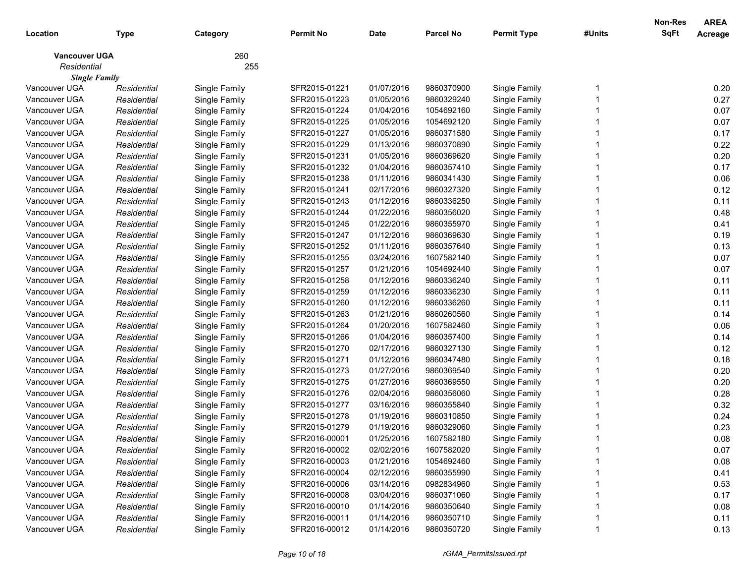|                      |             |               |                  |             |                  |                    |        | Non-Res     | <b>AREA</b> |
|----------------------|-------------|---------------|------------------|-------------|------------------|--------------------|--------|-------------|-------------|
| Location             | Type        | Category      | <b>Permit No</b> | <b>Date</b> | <b>Parcel No</b> | <b>Permit Type</b> | #Units | <b>SqFt</b> | Acreage     |
| <b>Vancouver UGA</b> |             | 260           |                  |             |                  |                    |        |             |             |
| Residential          |             | 255           |                  |             |                  |                    |        |             |             |
| <b>Single Family</b> |             |               |                  |             |                  |                    |        |             |             |
| Vancouver UGA        | Residential | Single Family | SFR2015-01221    | 01/07/2016  | 9860370900       | Single Family      |        |             | 0.20        |
| Vancouver UGA        | Residential | Single Family | SFR2015-01223    | 01/05/2016  | 9860329240       | Single Family      |        |             | 0.27        |
| Vancouver UGA        | Residential | Single Family | SFR2015-01224    | 01/04/2016  | 1054692160       | Single Family      |        |             | 0.07        |
| Vancouver UGA        | Residential | Single Family | SFR2015-01225    | 01/05/2016  | 1054692120       | Single Family      |        |             | 0.07        |
| Vancouver UGA        | Residential | Single Family | SFR2015-01227    | 01/05/2016  | 9860371580       | Single Family      |        |             | 0.17        |
| Vancouver UGA        | Residential | Single Family | SFR2015-01229    | 01/13/2016  | 9860370890       | Single Family      |        |             | 0.22        |
| Vancouver UGA        | Residential | Single Family | SFR2015-01231    | 01/05/2016  | 9860369620       | Single Family      |        |             | 0.20        |
| Vancouver UGA        | Residential | Single Family | SFR2015-01232    | 01/04/2016  | 9860357410       | Single Family      |        |             | 0.17        |
| Vancouver UGA        | Residential | Single Family | SFR2015-01238    | 01/11/2016  | 9860341430       | Single Family      |        |             | 0.06        |
| Vancouver UGA        | Residential | Single Family | SFR2015-01241    | 02/17/2016  | 9860327320       | Single Family      |        |             | 0.12        |
| Vancouver UGA        | Residential | Single Family | SFR2015-01243    | 01/12/2016  | 9860336250       | Single Family      |        |             | 0.11        |
| Vancouver UGA        | Residential | Single Family | SFR2015-01244    | 01/22/2016  | 9860356020       | Single Family      |        |             | 0.48        |
| Vancouver UGA        | Residential | Single Family | SFR2015-01245    | 01/22/2016  | 9860355970       | Single Family      |        |             | 0.41        |
| Vancouver UGA        | Residential | Single Family | SFR2015-01247    | 01/12/2016  | 9860369630       | Single Family      |        |             | 0.19        |
| Vancouver UGA        | Residential | Single Family | SFR2015-01252    | 01/11/2016  | 9860357640       | Single Family      |        |             | 0.13        |
| Vancouver UGA        | Residential | Single Family | SFR2015-01255    | 03/24/2016  | 1607582140       | Single Family      |        |             | 0.07        |
| Vancouver UGA        | Residential | Single Family | SFR2015-01257    | 01/21/2016  | 1054692440       | Single Family      |        |             | 0.07        |
| Vancouver UGA        | Residential | Single Family | SFR2015-01258    | 01/12/2016  | 9860336240       | Single Family      |        |             | 0.11        |
| Vancouver UGA        | Residential | Single Family | SFR2015-01259    | 01/12/2016  | 9860336230       | Single Family      |        |             | 0.11        |
| Vancouver UGA        | Residential | Single Family | SFR2015-01260    | 01/12/2016  | 9860336260       | Single Family      |        |             | 0.11        |
| Vancouver UGA        | Residential | Single Family | SFR2015-01263    | 01/21/2016  | 9860260560       | Single Family      |        |             | 0.14        |
| Vancouver UGA        | Residential | Single Family | SFR2015-01264    | 01/20/2016  | 1607582460       | Single Family      |        |             | 0.06        |
| Vancouver UGA        | Residential | Single Family | SFR2015-01266    | 01/04/2016  | 9860357400       | Single Family      |        |             | 0.14        |
| Vancouver UGA        | Residential | Single Family | SFR2015-01270    | 02/17/2016  | 9860327130       | Single Family      |        |             | 0.12        |
| Vancouver UGA        | Residential | Single Family | SFR2015-01271    | 01/12/2016  | 9860347480       | Single Family      |        |             | 0.18        |
| Vancouver UGA        | Residential | Single Family | SFR2015-01273    | 01/27/2016  | 9860369540       | Single Family      |        |             | 0.20        |
| Vancouver UGA        | Residential | Single Family | SFR2015-01275    | 01/27/2016  | 9860369550       | Single Family      |        |             | 0.20        |
| Vancouver UGA        | Residential | Single Family | SFR2015-01276    | 02/04/2016  | 9860356060       | Single Family      |        |             | 0.28        |
| Vancouver UGA        | Residential | Single Family | SFR2015-01277    | 03/16/2016  | 9860355840       | Single Family      |        |             | 0.32        |
| Vancouver UGA        | Residential | Single Family | SFR2015-01278    | 01/19/2016  | 9860310850       | Single Family      |        |             | 0.24        |
| Vancouver UGA        | Residential | Single Family | SFR2015-01279    | 01/19/2016  | 9860329060       | Single Family      |        |             | 0.23        |
| Vancouver UGA        | Residential | Single Family | SFR2016-00001    | 01/25/2016  | 1607582180       | Single Family      |        |             | 0.08        |
| Vancouver UGA        | Residential | Single Family | SFR2016-00002    | 02/02/2016  | 1607582020       | Single Family      |        |             | 0.07        |
| Vancouver UGA        | Residential | Single Family | SFR2016-00003    | 01/21/2016  | 1054692460       | Single Family      |        |             | 0.08        |
| Vancouver UGA        | Residential | Single Family | SFR2016-00004    | 02/12/2016  | 9860355990       | Single Family      |        |             | 0.41        |
| Vancouver UGA        | Residential | Single Family | SFR2016-00006    | 03/14/2016  | 0982834960       | Single Family      |        |             | 0.53        |
| Vancouver UGA        | Residential | Single Family | SFR2016-00008    | 03/04/2016  | 9860371060       | Single Family      |        |             | 0.17        |
| Vancouver UGA        | Residential | Single Family | SFR2016-00010    | 01/14/2016  | 9860350640       | Single Family      |        |             | 0.08        |
| Vancouver UGA        | Residential | Single Family | SFR2016-00011    | 01/14/2016  | 9860350710       | Single Family      |        |             | 0.11        |
| Vancouver UGA        | Residential | Single Family | SFR2016-00012    | 01/14/2016  | 9860350720       | Single Family      |        |             | 0.13        |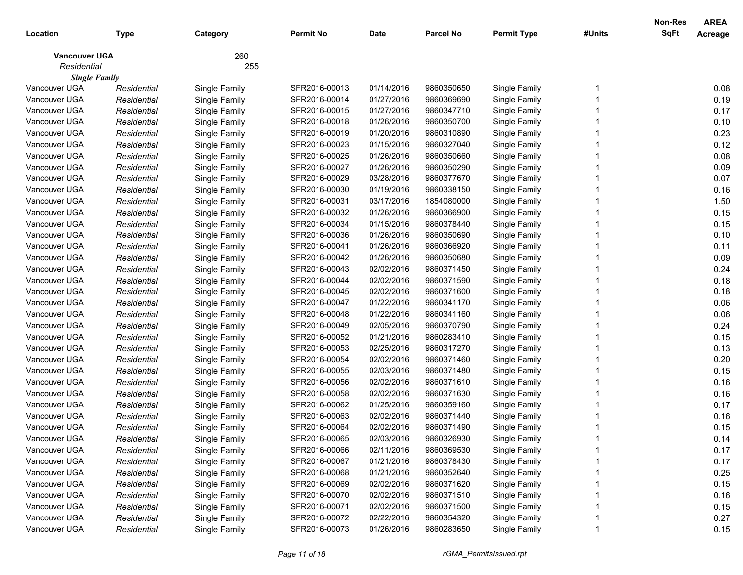|                      |             |               |                  |             |                  |                    |        | Non-Res     | <b>AREA</b> |
|----------------------|-------------|---------------|------------------|-------------|------------------|--------------------|--------|-------------|-------------|
| Location             | Type        | Category      | <b>Permit No</b> | <b>Date</b> | <b>Parcel No</b> | <b>Permit Type</b> | #Units | <b>SqFt</b> | Acreage     |
| <b>Vancouver UGA</b> |             | 260           |                  |             |                  |                    |        |             |             |
| Residential          |             | 255           |                  |             |                  |                    |        |             |             |
| <b>Single Family</b> |             |               |                  |             |                  |                    |        |             |             |
| Vancouver UGA        | Residential | Single Family | SFR2016-00013    | 01/14/2016  | 9860350650       | Single Family      |        |             | 0.08        |
| Vancouver UGA        | Residential | Single Family | SFR2016-00014    | 01/27/2016  | 9860369690       | Single Family      |        |             | 0.19        |
| Vancouver UGA        | Residential | Single Family | SFR2016-00015    | 01/27/2016  | 9860347710       | Single Family      |        |             | 0.17        |
| Vancouver UGA        | Residential | Single Family | SFR2016-00018    | 01/26/2016  | 9860350700       | Single Family      |        |             | 0.10        |
| Vancouver UGA        | Residential | Single Family | SFR2016-00019    | 01/20/2016  | 9860310890       | Single Family      |        |             | 0.23        |
| Vancouver UGA        | Residential | Single Family | SFR2016-00023    | 01/15/2016  | 9860327040       | Single Family      |        |             | 0.12        |
| Vancouver UGA        | Residential | Single Family | SFR2016-00025    | 01/26/2016  | 9860350660       | Single Family      |        |             | 0.08        |
| Vancouver UGA        | Residential | Single Family | SFR2016-00027    | 01/26/2016  | 9860350290       | Single Family      |        |             | 0.09        |
| Vancouver UGA        | Residential | Single Family | SFR2016-00029    | 03/28/2016  | 9860377670       | Single Family      |        |             | 0.07        |
| Vancouver UGA        | Residential | Single Family | SFR2016-00030    | 01/19/2016  | 9860338150       | Single Family      |        |             | 0.16        |
| Vancouver UGA        | Residential | Single Family | SFR2016-00031    | 03/17/2016  | 1854080000       | Single Family      |        |             | 1.50        |
| Vancouver UGA        | Residential | Single Family | SFR2016-00032    | 01/26/2016  | 9860366900       | Single Family      |        |             | 0.15        |
| Vancouver UGA        | Residential | Single Family | SFR2016-00034    | 01/15/2016  | 9860378440       | Single Family      |        |             | 0.15        |
| Vancouver UGA        | Residential | Single Family | SFR2016-00036    | 01/26/2016  | 9860350690       | Single Family      |        |             | 0.10        |
| Vancouver UGA        | Residential | Single Family | SFR2016-00041    | 01/26/2016  | 9860366920       | Single Family      |        |             | 0.11        |
| Vancouver UGA        | Residential | Single Family | SFR2016-00042    | 01/26/2016  | 9860350680       | Single Family      |        |             | 0.09        |
| Vancouver UGA        | Residential | Single Family | SFR2016-00043    | 02/02/2016  | 9860371450       | Single Family      |        |             | 0.24        |
| Vancouver UGA        | Residential | Single Family | SFR2016-00044    | 02/02/2016  | 9860371590       | Single Family      |        |             | 0.18        |
| Vancouver UGA        | Residential | Single Family | SFR2016-00045    | 02/02/2016  | 9860371600       | Single Family      |        |             | 0.18        |
| Vancouver UGA        | Residential | Single Family | SFR2016-00047    | 01/22/2016  | 9860341170       | Single Family      |        |             | 0.06        |
| Vancouver UGA        | Residential | Single Family | SFR2016-00048    | 01/22/2016  | 9860341160       | Single Family      |        |             | 0.06        |
| Vancouver UGA        | Residential | Single Family | SFR2016-00049    | 02/05/2016  | 9860370790       | Single Family      |        |             | 0.24        |
| Vancouver UGA        | Residential | Single Family | SFR2016-00052    | 01/21/2016  | 9860283410       | Single Family      |        |             | 0.15        |
| Vancouver UGA        | Residential | Single Family | SFR2016-00053    | 02/25/2016  | 9860317270       | Single Family      |        |             | 0.13        |
| Vancouver UGA        | Residential | Single Family | SFR2016-00054    | 02/02/2016  | 9860371460       | Single Family      |        |             | 0.20        |
| Vancouver UGA        | Residential | Single Family | SFR2016-00055    | 02/03/2016  | 9860371480       | Single Family      |        |             | 0.15        |
| Vancouver UGA        | Residential | Single Family | SFR2016-00056    | 02/02/2016  | 9860371610       | Single Family      |        |             | 0.16        |
| Vancouver UGA        | Residential | Single Family | SFR2016-00058    | 02/02/2016  | 9860371630       | Single Family      |        |             | 0.16        |
| Vancouver UGA        | Residential | Single Family | SFR2016-00062    | 01/25/2016  | 9860359160       | Single Family      |        |             | 0.17        |
| Vancouver UGA        | Residential | Single Family | SFR2016-00063    | 02/02/2016  | 9860371440       | Single Family      |        |             | 0.16        |
| Vancouver UGA        | Residential | Single Family | SFR2016-00064    | 02/02/2016  | 9860371490       | Single Family      |        |             | 0.15        |
| Vancouver UGA        | Residential | Single Family | SFR2016-00065    | 02/03/2016  | 9860326930       | Single Family      |        |             | 0.14        |
| Vancouver UGA        | Residential | Single Family | SFR2016-00066    | 02/11/2016  | 9860369530       | Single Family      |        |             | 0.17        |
| Vancouver UGA        | Residential | Single Family | SFR2016-00067    | 01/21/2016  | 9860378430       | Single Family      |        |             | 0.17        |
| Vancouver UGA        | Residential | Single Family | SFR2016-00068    | 01/21/2016  | 9860352640       | Single Family      |        |             | 0.25        |
| Vancouver UGA        | Residential | Single Family | SFR2016-00069    | 02/02/2016  | 9860371620       | Single Family      |        |             | 0.15        |
| Vancouver UGA        | Residential | Single Family | SFR2016-00070    | 02/02/2016  | 9860371510       | Single Family      |        |             | 0.16        |
| Vancouver UGA        | Residential | Single Family | SFR2016-00071    | 02/02/2016  | 9860371500       | Single Family      |        |             | 0.15        |
| Vancouver UGA        | Residential | Single Family | SFR2016-00072    | 02/22/2016  | 9860354320       | Single Family      |        |             | 0.27        |
| Vancouver UGA        | Residential | Single Family | SFR2016-00073    | 01/26/2016  | 9860283650       | Single Family      |        |             | 0.15        |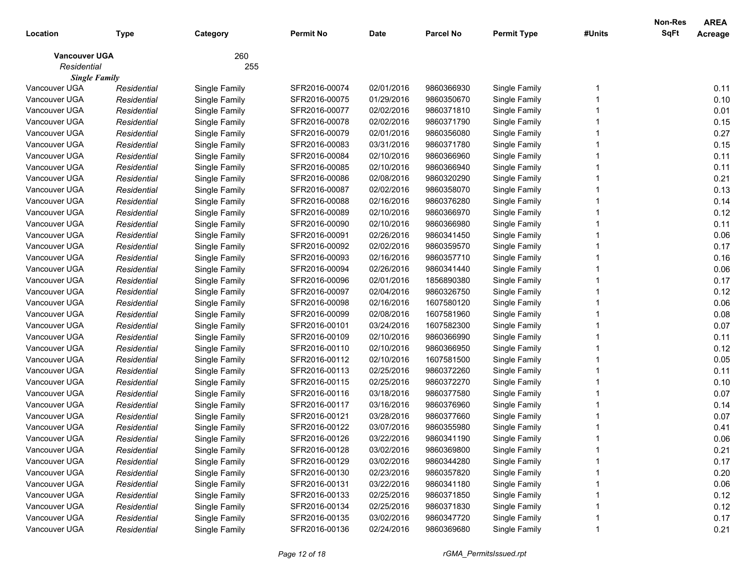|                      |             |               |               |             |                  |                    |        | Non-Res     | <b>AREA</b> |
|----------------------|-------------|---------------|---------------|-------------|------------------|--------------------|--------|-------------|-------------|
| Location             | Type        | Category      | Permit No     | <b>Date</b> | <b>Parcel No</b> | <b>Permit Type</b> | #Units | <b>SqFt</b> | Acreage     |
| <b>Vancouver UGA</b> |             | 260           |               |             |                  |                    |        |             |             |
| Residential          |             | 255           |               |             |                  |                    |        |             |             |
| <b>Single Family</b> |             |               |               |             |                  |                    |        |             |             |
| Vancouver UGA        | Residential | Single Family | SFR2016-00074 | 02/01/2016  | 9860366930       | Single Family      |        |             | 0.11        |
| Vancouver UGA        | Residential | Single Family | SFR2016-00075 | 01/29/2016  | 9860350670       | Single Family      |        |             | 0.10        |
| Vancouver UGA        | Residential | Single Family | SFR2016-00077 | 02/02/2016  | 9860371810       | Single Family      |        |             | 0.01        |
| Vancouver UGA        | Residential | Single Family | SFR2016-00078 | 02/02/2016  | 9860371790       | Single Family      |        |             | 0.15        |
| Vancouver UGA        | Residential | Single Family | SFR2016-00079 | 02/01/2016  | 9860356080       | Single Family      |        |             | 0.27        |
| Vancouver UGA        | Residential | Single Family | SFR2016-00083 | 03/31/2016  | 9860371780       | Single Family      |        |             | 0.15        |
| Vancouver UGA        | Residential | Single Family | SFR2016-00084 | 02/10/2016  | 9860366960       | Single Family      |        |             | 0.11        |
| Vancouver UGA        | Residential | Single Family | SFR2016-00085 | 02/10/2016  | 9860366940       | Single Family      |        |             | 0.11        |
| Vancouver UGA        | Residential | Single Family | SFR2016-00086 | 02/08/2016  | 9860320290       | Single Family      |        |             | 0.21        |
| Vancouver UGA        | Residential | Single Family | SFR2016-00087 | 02/02/2016  | 9860358070       | Single Family      |        |             | 0.13        |
| Vancouver UGA        | Residential | Single Family | SFR2016-00088 | 02/16/2016  | 9860376280       | Single Family      |        |             | 0.14        |
| Vancouver UGA        | Residential | Single Family | SFR2016-00089 | 02/10/2016  | 9860366970       | Single Family      |        |             | 0.12        |
| Vancouver UGA        | Residential | Single Family | SFR2016-00090 | 02/10/2016  | 9860366980       | Single Family      |        |             | 0.11        |
| Vancouver UGA        | Residential | Single Family | SFR2016-00091 | 02/26/2016  | 9860341450       | Single Family      |        |             | 0.06        |
| Vancouver UGA        | Residential | Single Family | SFR2016-00092 | 02/02/2016  | 9860359570       | Single Family      |        |             | 0.17        |
| Vancouver UGA        | Residential | Single Family | SFR2016-00093 | 02/16/2016  | 9860357710       | Single Family      |        |             | 0.16        |
| Vancouver UGA        | Residential | Single Family | SFR2016-00094 | 02/26/2016  | 9860341440       | Single Family      |        |             | 0.06        |
| Vancouver UGA        | Residential | Single Family | SFR2016-00096 | 02/01/2016  | 1856890380       | Single Family      |        |             | 0.17        |
| Vancouver UGA        | Residential | Single Family | SFR2016-00097 | 02/04/2016  | 9860326750       | Single Family      |        |             | 0.12        |
| Vancouver UGA        | Residential | Single Family | SFR2016-00098 | 02/16/2016  | 1607580120       | Single Family      |        |             | 0.06        |
| Vancouver UGA        | Residential | Single Family | SFR2016-00099 | 02/08/2016  | 1607581960       | Single Family      |        |             | 0.08        |
| Vancouver UGA        | Residential | Single Family | SFR2016-00101 | 03/24/2016  | 1607582300       | Single Family      |        |             | 0.07        |
| Vancouver UGA        | Residential | Single Family | SFR2016-00109 | 02/10/2016  | 9860366990       | Single Family      |        |             | 0.11        |
| Vancouver UGA        | Residential | Single Family | SFR2016-00110 | 02/10/2016  | 9860366950       | Single Family      |        |             | 0.12        |
| Vancouver UGA        | Residential | Single Family | SFR2016-00112 | 02/10/2016  | 1607581500       | Single Family      |        |             | 0.05        |
| Vancouver UGA        | Residential | Single Family | SFR2016-00113 | 02/25/2016  | 9860372260       | Single Family      |        |             | 0.11        |
| Vancouver UGA        | Residential | Single Family | SFR2016-00115 | 02/25/2016  | 9860372270       | Single Family      |        |             | 0.10        |
| Vancouver UGA        | Residential | Single Family | SFR2016-00116 | 03/18/2016  | 9860377580       | Single Family      |        |             | 0.07        |
| Vancouver UGA        | Residential | Single Family | SFR2016-00117 | 03/16/2016  | 9860376960       | Single Family      |        |             | 0.14        |
| Vancouver UGA        | Residential | Single Family | SFR2016-00121 | 03/28/2016  | 9860377660       | Single Family      |        |             | 0.07        |
| Vancouver UGA        | Residential | Single Family | SFR2016-00122 | 03/07/2016  | 9860355980       | Single Family      |        |             | 0.41        |
| Vancouver UGA        | Residential | Single Family | SFR2016-00126 | 03/22/2016  | 9860341190       | Single Family      |        |             | 0.06        |
| Vancouver UGA        | Residential | Single Family | SFR2016-00128 | 03/02/2016  | 9860369800       | Single Family      |        |             | 0.21        |
| Vancouver UGA        | Residential | Single Family | SFR2016-00129 | 03/02/2016  | 9860344280       | Single Family      |        |             | 0.17        |
| Vancouver UGA        | Residential | Single Family | SFR2016-00130 | 02/23/2016  | 9860357820       | Single Family      |        |             | 0.20        |
| Vancouver UGA        | Residential | Single Family | SFR2016-00131 | 03/22/2016  | 9860341180       | Single Family      |        |             | 0.06        |
| Vancouver UGA        | Residential | Single Family | SFR2016-00133 | 02/25/2016  | 9860371850       | Single Family      |        |             | 0.12        |
| Vancouver UGA        | Residential | Single Family | SFR2016-00134 | 02/25/2016  | 9860371830       | Single Family      |        |             | 0.12        |
| Vancouver UGA        | Residential | Single Family | SFR2016-00135 | 03/02/2016  | 9860347720       | Single Family      |        |             | 0.17        |
| Vancouver UGA        | Residential | Single Family | SFR2016-00136 | 02/24/2016  | 9860369680       | Single Family      |        |             | 0.21        |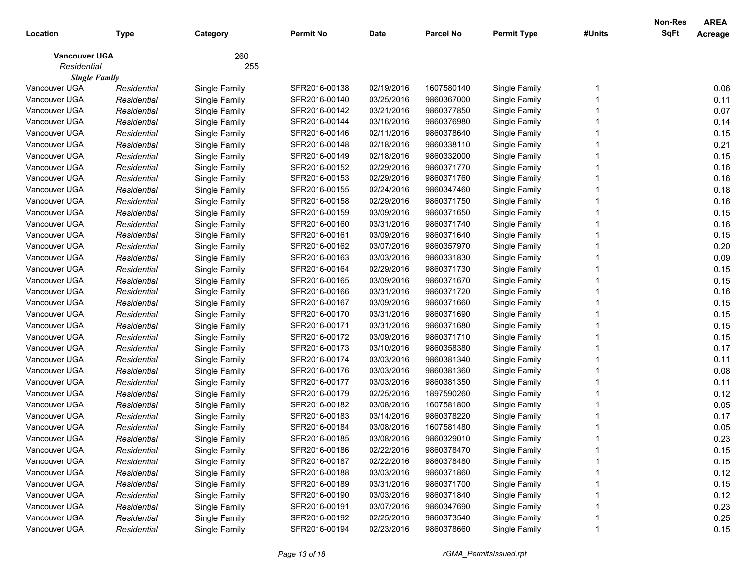|                      |             |               |                  |             |                  |                    |        | Non-Res     | <b>AREA</b> |
|----------------------|-------------|---------------|------------------|-------------|------------------|--------------------|--------|-------------|-------------|
| Location             | Type        | Category      | <b>Permit No</b> | <b>Date</b> | <b>Parcel No</b> | <b>Permit Type</b> | #Units | <b>SqFt</b> | Acreage     |
| <b>Vancouver UGA</b> |             | 260           |                  |             |                  |                    |        |             |             |
| Residential          |             | 255           |                  |             |                  |                    |        |             |             |
| <b>Single Family</b> |             |               |                  |             |                  |                    |        |             |             |
| Vancouver UGA        | Residential | Single Family | SFR2016-00138    | 02/19/2016  | 1607580140       | Single Family      |        |             | 0.06        |
| Vancouver UGA        | Residential | Single Family | SFR2016-00140    | 03/25/2016  | 9860367000       | Single Family      |        |             | 0.11        |
| Vancouver UGA        | Residential | Single Family | SFR2016-00142    | 03/21/2016  | 9860377850       | Single Family      |        |             | 0.07        |
| Vancouver UGA        | Residential | Single Family | SFR2016-00144    | 03/16/2016  | 9860376980       | Single Family      |        |             | 0.14        |
| Vancouver UGA        | Residential | Single Family | SFR2016-00146    | 02/11/2016  | 9860378640       | Single Family      |        |             | 0.15        |
| Vancouver UGA        | Residential | Single Family | SFR2016-00148    | 02/18/2016  | 9860338110       | Single Family      |        |             | 0.21        |
| Vancouver UGA        | Residential | Single Family | SFR2016-00149    | 02/18/2016  | 9860332000       | Single Family      |        |             | 0.15        |
| Vancouver UGA        | Residential | Single Family | SFR2016-00152    | 02/29/2016  | 9860371770       | Single Family      |        |             | 0.16        |
| Vancouver UGA        | Residential | Single Family | SFR2016-00153    | 02/29/2016  | 9860371760       | Single Family      |        |             | 0.16        |
| Vancouver UGA        | Residential | Single Family | SFR2016-00155    | 02/24/2016  | 9860347460       | Single Family      |        |             | 0.18        |
| Vancouver UGA        | Residential | Single Family | SFR2016-00158    | 02/29/2016  | 9860371750       | Single Family      |        |             | 0.16        |
| Vancouver UGA        | Residential | Single Family | SFR2016-00159    | 03/09/2016  | 9860371650       | Single Family      |        |             | 0.15        |
| Vancouver UGA        | Residential | Single Family | SFR2016-00160    | 03/31/2016  | 9860371740       | Single Family      |        |             | 0.16        |
| Vancouver UGA        | Residential | Single Family | SFR2016-00161    | 03/09/2016  | 9860371640       | Single Family      |        |             | 0.15        |
| Vancouver UGA        | Residential | Single Family | SFR2016-00162    | 03/07/2016  | 9860357970       | Single Family      |        |             | 0.20        |
| Vancouver UGA        | Residential | Single Family | SFR2016-00163    | 03/03/2016  | 9860331830       | Single Family      |        |             | 0.09        |
| Vancouver UGA        | Residential | Single Family | SFR2016-00164    | 02/29/2016  | 9860371730       | Single Family      |        |             | 0.15        |
| Vancouver UGA        | Residential | Single Family | SFR2016-00165    | 03/09/2016  | 9860371670       | Single Family      |        |             | 0.15        |
| Vancouver UGA        | Residential | Single Family | SFR2016-00166    | 03/31/2016  | 9860371720       | Single Family      |        |             | 0.16        |
| Vancouver UGA        | Residential | Single Family | SFR2016-00167    | 03/09/2016  | 9860371660       | Single Family      |        |             | 0.15        |
| Vancouver UGA        | Residential | Single Family | SFR2016-00170    | 03/31/2016  | 9860371690       | Single Family      |        |             | 0.15        |
| Vancouver UGA        | Residential | Single Family | SFR2016-00171    | 03/31/2016  | 9860371680       | Single Family      |        |             | 0.15        |
| Vancouver UGA        | Residential | Single Family | SFR2016-00172    | 03/09/2016  | 9860371710       | Single Family      |        |             | 0.15        |
| Vancouver UGA        | Residential | Single Family | SFR2016-00173    | 03/10/2016  | 9860358380       | Single Family      |        |             | 0.17        |
| Vancouver UGA        | Residential | Single Family | SFR2016-00174    | 03/03/2016  | 9860381340       | Single Family      |        |             | 0.11        |
| Vancouver UGA        | Residential | Single Family | SFR2016-00176    | 03/03/2016  | 9860381360       | Single Family      |        |             | 0.08        |
| Vancouver UGA        | Residential | Single Family | SFR2016-00177    | 03/03/2016  | 9860381350       | Single Family      |        |             | 0.11        |
| Vancouver UGA        | Residential | Single Family | SFR2016-00179    | 02/25/2016  | 1897590260       | Single Family      |        |             | 0.12        |
| Vancouver UGA        | Residential | Single Family | SFR2016-00182    | 03/08/2016  | 1607581800       | Single Family      |        |             | 0.05        |
| Vancouver UGA        | Residential | Single Family | SFR2016-00183    | 03/14/2016  | 9860378220       | Single Family      |        |             | 0.17        |
| Vancouver UGA        | Residential | Single Family | SFR2016-00184    | 03/08/2016  | 1607581480       | Single Family      |        |             | 0.05        |
| Vancouver UGA        | Residential | Single Family | SFR2016-00185    | 03/08/2016  | 9860329010       | Single Family      |        |             | 0.23        |
| Vancouver UGA        | Residential | Single Family | SFR2016-00186    | 02/22/2016  | 9860378470       | Single Family      |        |             | 0.15        |
| Vancouver UGA        | Residential | Single Family | SFR2016-00187    | 02/22/2016  | 9860378480       | Single Family      |        |             | 0.15        |
| Vancouver UGA        | Residential | Single Family | SFR2016-00188    | 03/03/2016  | 9860371860       | Single Family      |        |             | 0.12        |
| Vancouver UGA        | Residential | Single Family | SFR2016-00189    | 03/31/2016  | 9860371700       | Single Family      |        |             | 0.15        |
| Vancouver UGA        | Residential | Single Family | SFR2016-00190    | 03/03/2016  | 9860371840       | Single Family      |        |             | 0.12        |
| Vancouver UGA        | Residential | Single Family | SFR2016-00191    | 03/07/2016  | 9860347690       | Single Family      |        |             | 0.23        |
| Vancouver UGA        | Residential | Single Family | SFR2016-00192    | 02/25/2016  | 9860373540       | Single Family      |        |             | 0.25        |
| Vancouver UGA        | Residential | Single Family | SFR2016-00194    | 02/23/2016  | 9860378660       | Single Family      |        |             | 0.15        |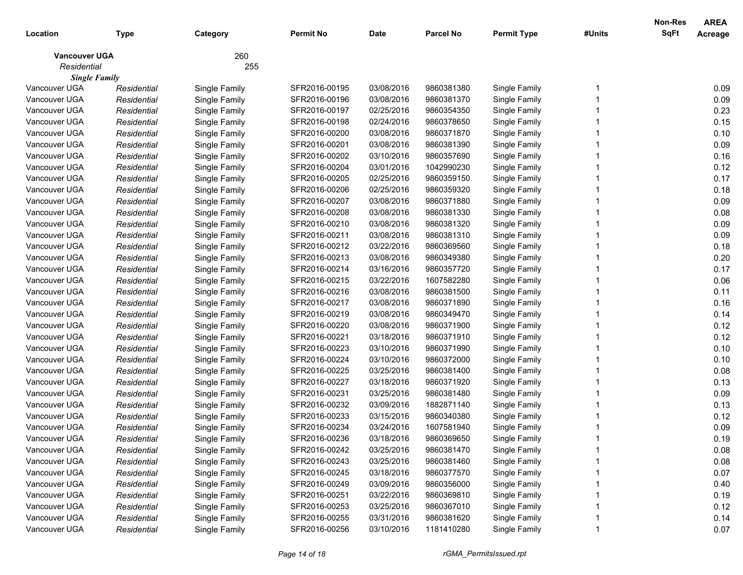|                      |             |               |                  |             |                  |                    |        | <b>Non-Res</b> | <b>AREA</b> |
|----------------------|-------------|---------------|------------------|-------------|------------------|--------------------|--------|----------------|-------------|
| Location             | Type        | Category      | <b>Permit No</b> | <b>Date</b> | <b>Parcel No</b> | <b>Permit Type</b> | #Units | <b>SqFt</b>    | Acreage     |
| <b>Vancouver UGA</b> |             | 260           |                  |             |                  |                    |        |                |             |
| Residential          |             | 255           |                  |             |                  |                    |        |                |             |
| <b>Single Family</b> |             |               |                  |             |                  |                    |        |                |             |
| Vancouver UGA        | Residential | Single Family | SFR2016-00195    | 03/08/2016  | 9860381380       | Single Family      |        |                | 0.09        |
| Vancouver UGA        | Residential | Single Family | SFR2016-00196    | 03/08/2016  | 9860381370       | Single Family      |        |                | 0.09        |
| Vancouver UGA        | Residential | Single Family | SFR2016-00197    | 02/25/2016  | 9860354350       | Single Family      |        |                | 0.23        |
| Vancouver UGA        | Residential | Single Family | SFR2016-00198    | 02/24/2016  | 9860378650       | Single Family      |        |                | 0.15        |
| Vancouver UGA        | Residential | Single Family | SFR2016-00200    | 03/08/2016  | 9860371870       | Single Family      |        |                | 0.10        |
| Vancouver UGA        | Residential | Single Family | SFR2016-00201    | 03/08/2016  | 9860381390       | Single Family      |        |                | 0.09        |
| Vancouver UGA        | Residential | Single Family | SFR2016-00202    | 03/10/2016  | 9860357690       | Single Family      |        |                | 0.16        |
| Vancouver UGA        | Residential | Single Family | SFR2016-00204    | 03/01/2016  | 1042990230       | Single Family      |        |                | 0.12        |
| Vancouver UGA        | Residential | Single Family | SFR2016-00205    | 02/25/2016  | 9860359150       | Single Family      |        |                | 0.17        |
| Vancouver UGA        | Residential | Single Family | SFR2016-00206    | 02/25/2016  | 9860359320       | Single Family      |        |                | 0.18        |
| Vancouver UGA        | Residential | Single Family | SFR2016-00207    | 03/08/2016  | 9860371880       | Single Family      |        |                | 0.09        |
| Vancouver UGA        | Residential | Single Family | SFR2016-00208    | 03/08/2016  | 9860381330       | Single Family      |        |                | 0.08        |
| Vancouver UGA        | Residential | Single Family | SFR2016-00210    | 03/08/2016  | 9860381320       | Single Family      |        |                | 0.09        |
| Vancouver UGA        | Residential | Single Family | SFR2016-00211    | 03/08/2016  | 9860381310       | Single Family      |        |                | 0.09        |
| Vancouver UGA        | Residential | Single Family | SFR2016-00212    | 03/22/2016  | 9860369560       | Single Family      |        |                | 0.18        |
| Vancouver UGA        | Residential | Single Family | SFR2016-00213    | 03/08/2016  | 9860349380       | Single Family      |        |                | 0.20        |
| Vancouver UGA        | Residential | Single Family | SFR2016-00214    | 03/16/2016  | 9860357720       | Single Family      |        |                | 0.17        |
| Vancouver UGA        | Residential | Single Family | SFR2016-00215    | 03/22/2016  | 1607582280       | Single Family      |        |                | 0.06        |
| Vancouver UGA        | Residential | Single Family | SFR2016-00216    | 03/08/2016  | 9860381500       | Single Family      |        |                | 0.11        |
| Vancouver UGA        | Residential | Single Family | SFR2016-00217    | 03/08/2016  | 9860371890       | Single Family      |        |                | 0.16        |
| Vancouver UGA        | Residential | Single Family | SFR2016-00219    | 03/08/2016  | 9860349470       | Single Family      |        |                | 0.14        |
| Vancouver UGA        | Residential | Single Family | SFR2016-00220    | 03/08/2016  | 9860371900       | Single Family      |        |                | 0.12        |
| Vancouver UGA        | Residential | Single Family | SFR2016-00221    | 03/18/2016  | 9860371910       | Single Family      |        |                | 0.12        |
| Vancouver UGA        | Residential | Single Family | SFR2016-00223    | 03/10/2016  | 9860371990       | Single Family      |        |                | 0.10        |
| Vancouver UGA        | Residential | Single Family | SFR2016-00224    | 03/10/2016  | 9860372000       | Single Family      |        |                | 0.10        |
| Vancouver UGA        | Residential | Single Family | SFR2016-00225    | 03/25/2016  | 9860381400       | Single Family      |        |                | 0.08        |
| Vancouver UGA        | Residential | Single Family | SFR2016-00227    | 03/18/2016  | 9860371920       | Single Family      |        |                | 0.13        |
| Vancouver UGA        | Residential | Single Family | SFR2016-00231    | 03/25/2016  | 9860381480       | Single Family      |        |                | 0.09        |
| Vancouver UGA        | Residential | Single Family | SFR2016-00232    | 03/09/2016  | 1882871140       | Single Family      |        |                | 0.13        |
| Vancouver UGA        | Residential | Single Family | SFR2016-00233    | 03/15/2016  | 9860340380       | Single Family      |        |                | 0.12        |
| Vancouver UGA        | Residential | Single Family | SFR2016-00234    | 03/24/2016  | 1607581940       | Single Family      |        |                | 0.09        |
| Vancouver UGA        | Residential | Single Family | SFR2016-00236    | 03/18/2016  | 9860369650       | Single Family      |        |                | 0.19        |
| Vancouver UGA        | Residential | Single Family | SFR2016-00242    | 03/25/2016  | 9860381470       | Single Family      |        |                | 0.08        |
| Vancouver UGA        | Residential | Single Family | SFR2016-00243    | 03/25/2016  | 9860381460       | Single Family      |        |                | 0.08        |
| Vancouver UGA        | Residential | Single Family | SFR2016-00245    | 03/18/2016  | 9860377570       | Single Family      |        |                | 0.07        |
| Vancouver UGA        | Residential | Single Family | SFR2016-00249    | 03/09/2016  | 9860356000       | Single Family      |        |                | 0.40        |
| Vancouver UGA        | Residential | Single Family | SFR2016-00251    | 03/22/2016  | 9860369810       | Single Family      |        |                | 0.19        |
| Vancouver UGA        | Residential | Single Family | SFR2016-00253    | 03/25/2016  | 9860367010       | Single Family      |        |                | 0.12        |
| Vancouver UGA        | Residential | Single Family | SFR2016-00255    | 03/31/2016  | 9860381620       | Single Family      |        |                | 0.14        |
| Vancouver UGA        | Residential | Single Family | SFR2016-00256    | 03/10/2016  | 1181410280       | Single Family      |        |                | 0.07        |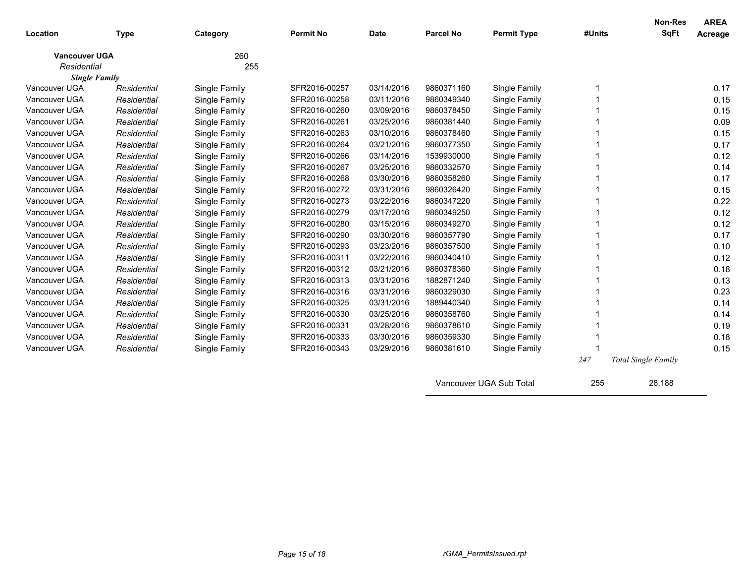| Location                            | <b>Type</b> | Category      | <b>Permit No</b> | <b>Date</b> | <b>Parcel No</b> | <b>Permit Type</b>      | #Units | <b>Non-Res</b><br><b>SqFt</b> | <b>AREA</b><br>Acreage |
|-------------------------------------|-------------|---------------|------------------|-------------|------------------|-------------------------|--------|-------------------------------|------------------------|
| <b>Vancouver UGA</b><br>Residential |             | 260<br>255    |                  |             |                  |                         |        |                               |                        |
| <b>Single Family</b>                |             |               |                  |             |                  |                         |        |                               |                        |
| Vancouver UGA                       | Residential | Single Family | SFR2016-00257    | 03/14/2016  | 9860371160       | Single Family           |        |                               | 0.17                   |
| Vancouver UGA                       | Residential | Single Family | SFR2016-00258    | 03/11/2016  | 9860349340       | Single Family           |        |                               | 0.15                   |
| Vancouver UGA                       | Residential | Single Family | SFR2016-00260    | 03/09/2016  | 9860378450       | Single Family           |        |                               | 0.15                   |
| Vancouver UGA                       | Residential | Single Family | SFR2016-00261    | 03/25/2016  | 9860381440       | Single Family           |        |                               | 0.09                   |
| Vancouver UGA                       | Residential | Single Family | SFR2016-00263    | 03/10/2016  | 9860378460       | Single Family           |        |                               | 0.15                   |
| Vancouver UGA                       | Residential | Single Family | SFR2016-00264    | 03/21/2016  | 9860377350       | Single Family           |        |                               | 0.17                   |
| Vancouver UGA                       | Residential | Single Family | SFR2016-00266    | 03/14/2016  | 1539930000       | Single Family           |        |                               | 0.12                   |
| Vancouver UGA                       | Residential | Single Family | SFR2016-00267    | 03/25/2016  | 9860332570       | Single Family           |        |                               | 0.14                   |
| Vancouver UGA                       | Residential | Single Family | SFR2016-00268    | 03/30/2016  | 9860358260       | Single Family           |        |                               | 0.17                   |
| Vancouver UGA                       | Residential | Single Family | SFR2016-00272    | 03/31/2016  | 9860326420       | Single Family           |        |                               | 0.15                   |
| Vancouver UGA                       | Residential | Single Family | SFR2016-00273    | 03/22/2016  | 9860347220       | Single Family           |        |                               | 0.22                   |
| Vancouver UGA                       | Residential | Single Family | SFR2016-00279    | 03/17/2016  | 9860349250       | Single Family           |        |                               | 0.12                   |
| Vancouver UGA                       | Residential | Single Family | SFR2016-00280    | 03/15/2016  | 9860349270       | Single Family           |        |                               | 0.12                   |
| Vancouver UGA                       | Residential | Single Family | SFR2016-00290    | 03/30/2016  | 9860357790       | Single Family           |        |                               | 0.17                   |
| Vancouver UGA                       | Residential | Single Family | SFR2016-00293    | 03/23/2016  | 9860357500       | Single Family           |        |                               | 0.10                   |
| Vancouver UGA                       | Residential | Single Family | SFR2016-00311    | 03/22/2016  | 9860340410       | Single Family           |        |                               | 0.12                   |
| Vancouver UGA                       | Residential | Single Family | SFR2016-00312    | 03/21/2016  | 9860378360       | Single Family           |        |                               | 0.18                   |
| Vancouver UGA                       | Residential | Single Family | SFR2016-00313    | 03/31/2016  | 1882871240       | Single Family           |        |                               | 0.13                   |
| Vancouver UGA                       | Residential | Single Family | SFR2016-00316    | 03/31/2016  | 9860329030       | Single Family           |        |                               | 0.23                   |
| Vancouver UGA                       | Residential | Single Family | SFR2016-00325    | 03/31/2016  | 1889440340       | Single Family           |        |                               | 0.14                   |
| Vancouver UGA                       | Residential | Single Family | SFR2016-00330    | 03/25/2016  | 9860358760       | Single Family           |        |                               | 0.14                   |
| Vancouver UGA                       | Residential | Single Family | SFR2016-00331    | 03/28/2016  | 9860378610       | Single Family           |        |                               | 0.19                   |
| Vancouver UGA                       | Residential | Single Family | SFR2016-00333    | 03/30/2016  | 9860359330       | Single Family           |        |                               | 0.18                   |
| Vancouver UGA                       | Residential | Single Family | SFR2016-00343    | 03/29/2016  | 9860381610       | Single Family           |        |                               | 0.15                   |
|                                     |             |               |                  |             |                  |                         | 247    | Total Single Family           |                        |
|                                     |             |               |                  |             |                  | Vancouver UGA Sub Total | 255    | 28.188                        |                        |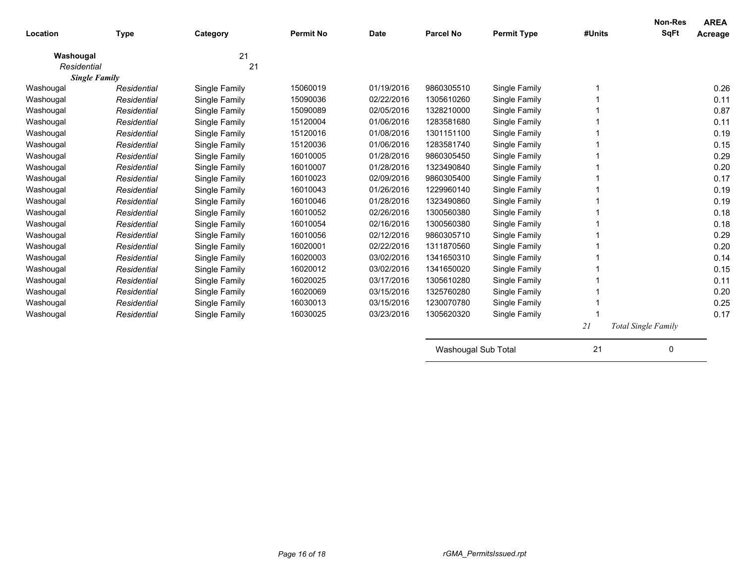| Location    | <b>Type</b>          | Category      | <b>Permit No</b> | <b>Date</b> | <b>Parcel No</b> | <b>Permit Type</b> | #Units | Non-Res<br>SqFt            | <b>AREA</b><br>Acreage |
|-------------|----------------------|---------------|------------------|-------------|------------------|--------------------|--------|----------------------------|------------------------|
| Washougal   |                      | 21            |                  |             |                  |                    |        |                            |                        |
| Residential |                      | 21            |                  |             |                  |                    |        |                            |                        |
|             | <b>Single Family</b> |               |                  |             |                  |                    |        |                            |                        |
| Washougal   | Residential          | Single Family | 15060019         | 01/19/2016  | 9860305510       | Single Family      |        |                            | 0.26                   |
| Washougal   | Residential          | Single Family | 15090036         | 02/22/2016  | 1305610260       | Single Family      |        |                            | 0.11                   |
| Washougal   | Residential          | Single Family | 15090089         | 02/05/2016  | 1328210000       | Single Family      |        |                            | 0.87                   |
| Washougal   | Residential          | Single Family | 15120004         | 01/06/2016  | 1283581680       | Single Family      |        |                            | 0.11                   |
| Washougal   | Residential          | Single Family | 15120016         | 01/08/2016  | 1301151100       | Single Family      |        |                            | 0.19                   |
| Washougal   | Residential          | Single Family | 15120036         | 01/06/2016  | 1283581740       | Single Family      |        |                            | 0.15                   |
| Washougal   | Residential          | Single Family | 16010005         | 01/28/2016  | 9860305450       | Single Family      |        |                            | 0.29                   |
| Washougal   | Residential          | Single Family | 16010007         | 01/28/2016  | 1323490840       | Single Family      |        |                            | 0.20                   |
| Washougal   | Residential          | Single Family | 16010023         | 02/09/2016  | 9860305400       | Single Family      |        |                            | 0.17                   |
| Washougal   | Residential          | Single Family | 16010043         | 01/26/2016  | 1229960140       | Single Family      |        |                            | 0.19                   |
| Washougal   | Residential          | Single Family | 16010046         | 01/28/2016  | 1323490860       | Single Family      |        |                            | 0.19                   |
| Washougal   | Residential          | Single Family | 16010052         | 02/26/2016  | 1300560380       | Single Family      |        |                            | 0.18                   |
| Washougal   | Residential          | Single Family | 16010054         | 02/16/2016  | 1300560380       | Single Family      |        |                            | 0.18                   |
| Washougal   | Residential          | Single Family | 16010056         | 02/12/2016  | 9860305710       | Single Family      |        |                            | 0.29                   |
| Washougal   | Residential          | Single Family | 16020001         | 02/22/2016  | 1311870560       | Single Family      |        |                            | 0.20                   |
| Washougal   | Residential          | Single Family | 16020003         | 03/02/2016  | 1341650310       | Single Family      |        |                            | 0.14                   |
| Washougal   | Residential          | Single Family | 16020012         | 03/02/2016  | 1341650020       | Single Family      |        |                            | 0.15                   |
| Washougal   | Residential          | Single Family | 16020025         | 03/17/2016  | 1305610280       | Single Family      |        |                            | 0.11                   |
| Washougal   | Residential          | Single Family | 16020069         | 03/15/2016  | 1325760280       | Single Family      |        |                            | 0.20                   |
| Washougal   | Residential          | Single Family | 16030013         | 03/15/2016  | 1230070780       | Single Family      |        |                            | 0.25                   |
| Washougal   | Residential          | Single Family | 16030025         | 03/23/2016  | 1305620320       | Single Family      |        |                            | 0.17                   |
|             |                      |               |                  |             |                  |                    | 21     | <b>Total Single Family</b> |                        |

| Washougal Sub Total |  |
|---------------------|--|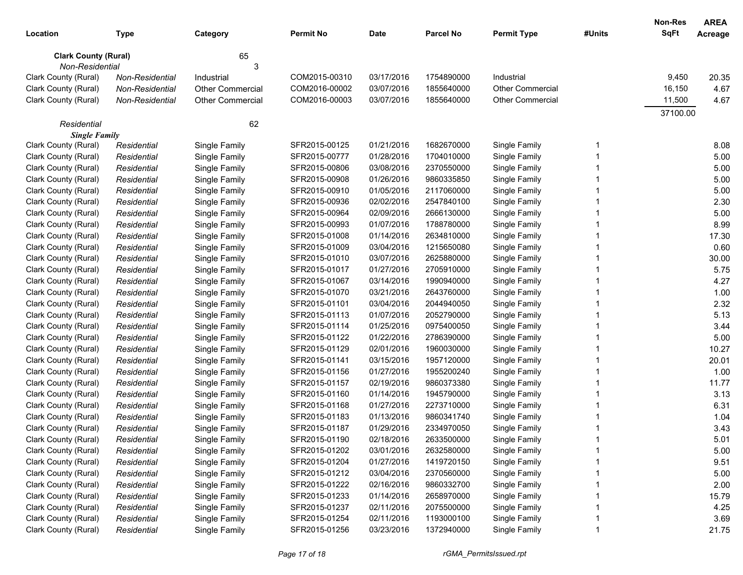| Location                    | Type            | Category                | <b>Permit No</b> | <b>Date</b> | <b>Parcel No</b> | <b>Permit Type</b>      | #Units | <b>Non-Res</b><br><b>SqFt</b> | <b>AREA</b><br>Acreage |
|-----------------------------|-----------------|-------------------------|------------------|-------------|------------------|-------------------------|--------|-------------------------------|------------------------|
| <b>Clark County (Rural)</b> |                 | 65                      |                  |             |                  |                         |        |                               |                        |
| Non-Residential             |                 | 3                       |                  |             |                  |                         |        |                               |                        |
| Clark County (Rural)        | Non-Residential | Industrial              | COM2015-00310    | 03/17/2016  | 1754890000       | Industrial              |        | 9,450                         | 20.35                  |
| Clark County (Rural)        | Non-Residential | <b>Other Commercial</b> | COM2016-00002    | 03/07/2016  | 1855640000       | <b>Other Commercial</b> |        | 16,150                        | 4.67                   |
| Clark County (Rural)        | Non-Residential | <b>Other Commercial</b> | COM2016-00003    | 03/07/2016  | 1855640000       | <b>Other Commercial</b> |        | 11,500                        | 4.67                   |
|                             |                 |                         |                  |             |                  |                         |        | 37100.00                      |                        |
| Residential                 |                 | 62                      |                  |             |                  |                         |        |                               |                        |
| <b>Single Family</b>        |                 |                         |                  |             |                  |                         |        |                               |                        |
| Clark County (Rural)        | Residential     | Single Family           | SFR2015-00125    | 01/21/2016  | 1682670000       | Single Family           | -1     |                               | 8.08                   |
| Clark County (Rural)        | Residential     | Single Family           | SFR2015-00777    | 01/28/2016  | 1704010000       | Single Family           |        |                               | 5.00                   |
| Clark County (Rural)        | Residential     | Single Family           | SFR2015-00806    | 03/08/2016  | 2370550000       | Single Family           |        |                               | 5.00                   |
| Clark County (Rural)        | Residential     | Single Family           | SFR2015-00908    | 01/26/2016  | 9860335850       | Single Family           |        |                               | 5.00                   |
| Clark County (Rural)        | Residential     | Single Family           | SFR2015-00910    | 01/05/2016  | 2117060000       | Single Family           |        |                               | 5.00                   |
| Clark County (Rural)        | Residential     | Single Family           | SFR2015-00936    | 02/02/2016  | 2547840100       | Single Family           |        |                               | 2.30                   |
| Clark County (Rural)        | Residential     | Single Family           | SFR2015-00964    | 02/09/2016  | 2666130000       | Single Family           |        |                               | 5.00                   |
| Clark County (Rural)        | Residential     | Single Family           | SFR2015-00993    | 01/07/2016  | 1788780000       | Single Family           |        |                               | 8.99                   |
| Clark County (Rural)        | Residential     | Single Family           | SFR2015-01008    | 01/14/2016  | 2634810000       | Single Family           |        |                               | 17.30                  |
| Clark County (Rural)        | Residential     | Single Family           | SFR2015-01009    | 03/04/2016  | 1215650080       | Single Family           |        |                               | 0.60                   |
| Clark County (Rural)        | Residential     | Single Family           | SFR2015-01010    | 03/07/2016  | 2625880000       | Single Family           |        |                               | 30.00                  |
| Clark County (Rural)        | Residential     | Single Family           | SFR2015-01017    | 01/27/2016  | 2705910000       | Single Family           |        |                               | 5.75                   |
| Clark County (Rural)        | Residential     | Single Family           | SFR2015-01067    | 03/14/2016  | 1990940000       | Single Family           |        |                               | 4.27                   |
| Clark County (Rural)        | Residential     | Single Family           | SFR2015-01070    | 03/21/2016  | 2643760000       | Single Family           |        |                               | 1.00                   |
| Clark County (Rural)        | Residential     | Single Family           | SFR2015-01101    | 03/04/2016  | 2044940050       | Single Family           |        |                               | 2.32                   |
| Clark County (Rural)        | Residential     | Single Family           | SFR2015-01113    | 01/07/2016  | 2052790000       | Single Family           |        |                               | 5.13                   |
| Clark County (Rural)        | Residential     | Single Family           | SFR2015-01114    | 01/25/2016  | 0975400050       | Single Family           |        |                               | 3.44                   |
| Clark County (Rural)        | Residential     | Single Family           | SFR2015-01122    | 01/22/2016  | 2786390000       | Single Family           |        |                               | 5.00                   |
| Clark County (Rural)        | Residential     | Single Family           | SFR2015-01129    | 02/01/2016  | 1960030000       | Single Family           |        |                               | 10.27                  |
| Clark County (Rural)        | Residential     | Single Family           | SFR2015-01141    | 03/15/2016  | 1957120000       | Single Family           |        |                               | 20.01                  |
| Clark County (Rural)        | Residential     | Single Family           | SFR2015-01156    | 01/27/2016  | 1955200240       | Single Family           |        |                               | 1.00                   |
| Clark County (Rural)        | Residential     | Single Family           | SFR2015-01157    | 02/19/2016  | 9860373380       | Single Family           |        |                               | 11.77                  |
| Clark County (Rural)        | Residential     | Single Family           | SFR2015-01160    | 01/14/2016  | 1945790000       | Single Family           |        |                               | 3.13                   |
| Clark County (Rural)        | Residential     | Single Family           | SFR2015-01168    | 01/27/2016  | 2273710000       | Single Family           |        |                               | 6.31                   |
| Clark County (Rural)        | Residential     | Single Family           | SFR2015-01183    | 01/13/2016  | 9860341740       | Single Family           |        |                               | 1.04                   |
| Clark County (Rural)        | Residential     | Single Family           | SFR2015-01187    | 01/29/2016  | 2334970050       | Single Family           |        |                               | 3.43                   |
| Clark County (Rural)        | Residential     | Single Family           | SFR2015-01190    | 02/18/2016  | 2633500000       | Single Family           |        |                               | 5.01                   |
| Clark County (Rural)        | Residential     | Single Family           | SFR2015-01202    | 03/01/2016  | 2632580000       | Single Family           |        |                               | 5.00                   |
| Clark County (Rural)        | Residential     | Single Family           | SFR2015-01204    | 01/27/2016  | 1419720150       | Single Family           |        |                               | 9.51                   |
| Clark County (Rural)        | Residential     | Single Family           | SFR2015-01212    | 03/04/2016  | 2370560000       | Single Family           |        |                               | 5.00                   |
| Clark County (Rural)        | Residential     | Single Family           | SFR2015-01222    | 02/16/2016  | 9860332700       | Single Family           |        |                               | 2.00                   |
| Clark County (Rural)        | Residential     | Single Family           | SFR2015-01233    | 01/14/2016  | 2658970000       | Single Family           |        |                               | 15.79                  |
| Clark County (Rural)        | Residential     | Single Family           | SFR2015-01237    | 02/11/2016  | 2075500000       | Single Family           |        |                               | 4.25                   |
| Clark County (Rural)        | Residential     | Single Family           | SFR2015-01254    | 02/11/2016  | 1193000100       | Single Family           |        |                               | 3.69                   |
| Clark County (Rural)        | Residential     | Single Family           | SFR2015-01256    | 03/23/2016  | 1372940000       | Single Family           |        |                               | 21.75                  |